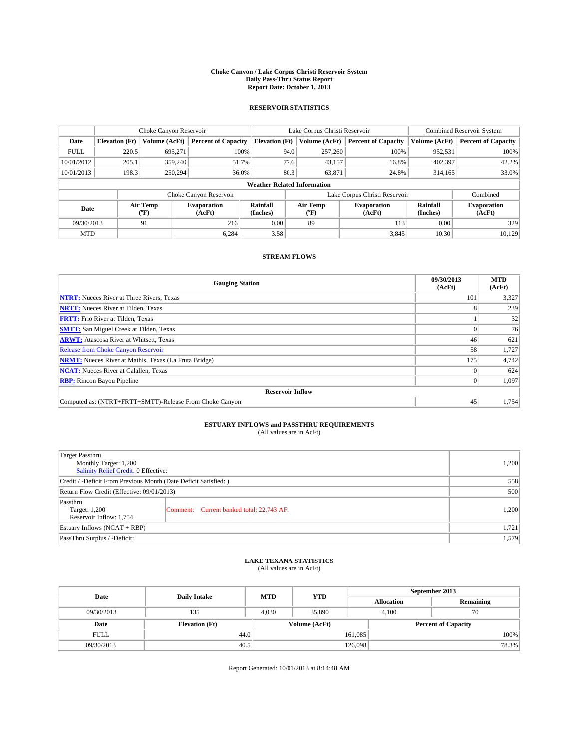### **Choke Canyon / Lake Corpus Christi Reservoir System Daily Pass-Thru Status Report Report Date: October 1, 2013**

### **RESERVOIR STATISTICS**

|             | Choke Canyon Reservoir             |                  |                              |                       | Lake Corpus Christi Reservoir | <b>Combined Reservoir System</b> |                      |                              |  |
|-------------|------------------------------------|------------------|------------------------------|-----------------------|-------------------------------|----------------------------------|----------------------|------------------------------|--|
| Date        | <b>Elevation</b> (Ft)              | Volume (AcFt)    | <b>Percent of Capacity</b>   | <b>Elevation (Ft)</b> | Volume (AcFt)                 | <b>Percent of Capacity</b>       | Volume (AcFt)        | <b>Percent of Capacity</b>   |  |
| <b>FULL</b> | 220.5                              | 695,271          | 100%                         | 94.0                  | 257,260                       | 100%                             | 952,531              | 100%                         |  |
| 10/01/2012  | 205.1                              | 359,240          | 51.7%                        | 77.6                  | 43,157                        | 16.8%                            | 402,397              | 42.2%                        |  |
| 10/01/2013  | 198.3                              | 250,294          | 36.0%                        | 80.3                  | 63,871                        | 24.8%                            | 314,165              | 33.0%                        |  |
|             | <b>Weather Related Information</b> |                  |                              |                       |                               |                                  |                      |                              |  |
|             |                                    |                  | Choke Canyon Reservoir       |                       |                               | Lake Corpus Christi Reservoir    |                      | Combined                     |  |
| Date        |                                    | Air Temp<br>(°F) | <b>Evaporation</b><br>(AcFt) | Rainfall<br>(Inches)  | Air Temp<br>(°F)              | <b>Evaporation</b><br>(AcFt)     | Rainfall<br>(Inches) | <b>Evaporation</b><br>(AcFt) |  |
| 09/30/2013  |                                    | 91               | 216                          | 0.00                  | 89                            | 113                              | 0.00                 | 329                          |  |
| <b>MTD</b>  |                                    |                  | 6,284                        | 3.58                  |                               | 3.845                            | 10.30                | 10,129                       |  |

### **STREAM FLOWS**

| <b>Gauging Station</b>                                       | 09/30/2013<br>(AcFt) | <b>MTD</b><br>(AcFt) |  |  |  |  |
|--------------------------------------------------------------|----------------------|----------------------|--|--|--|--|
| <b>NTRT:</b> Nueces River at Three Rivers, Texas             | 101                  | 3,327                |  |  |  |  |
| <b>NRTT:</b> Nueces River at Tilden, Texas                   |                      | 239                  |  |  |  |  |
| <b>FRTT:</b> Frio River at Tilden, Texas                     |                      | 32                   |  |  |  |  |
| <b>SMTT:</b> San Miguel Creek at Tilden, Texas               |                      | 76                   |  |  |  |  |
| <b>ARWT:</b> Atascosa River at Whitsett, Texas               | 46                   | 621                  |  |  |  |  |
| <b>Release from Choke Canyon Reservoir</b>                   | 58                   | 1,727                |  |  |  |  |
| <b>NRMT:</b> Nueces River at Mathis, Texas (La Fruta Bridge) | 175                  | 4,742                |  |  |  |  |
| <b>NCAT:</b> Nueces River at Calallen, Texas                 |                      | 624                  |  |  |  |  |
| <b>RBP:</b> Rincon Bayou Pipeline                            | $\Omega$             | 1,097                |  |  |  |  |
| <b>Reservoir Inflow</b>                                      |                      |                      |  |  |  |  |
| Computed as: (NTRT+FRTT+SMTT)-Release From Choke Canyon      | 45                   | 1,754                |  |  |  |  |

# **ESTUARY INFLOWS and PASSTHRU REQUIREMENTS**<br>(All values are in AcFt)

| Target Passthru<br>Monthly Target: 1,200<br>Salinity Relief Credit: 0 Effective: |                                           |       |  |  |
|----------------------------------------------------------------------------------|-------------------------------------------|-------|--|--|
| Credit / -Deficit From Previous Month (Date Deficit Satisfied: )                 |                                           |       |  |  |
| Return Flow Credit (Effective: 09/01/2013)                                       |                                           |       |  |  |
| Passthru<br>Target: 1,200<br>Reservoir Inflow: 1,754                             | Comment: Current banked total: 22,743 AF. | 1,200 |  |  |
| Estuary Inflows (NCAT + RBP)                                                     |                                           |       |  |  |
| PassThru Surplus / -Deficit:                                                     | 1,579                                     |       |  |  |

## **LAKE TEXANA STATISTICS** (All values are in AcFt)

| Date        | <b>Daily Intake</b>   | <b>MTD</b> | <b>YTD</b>    | September 2013             |             |           |  |
|-------------|-----------------------|------------|---------------|----------------------------|-------------|-----------|--|
|             |                       |            |               | <b>Allocation</b>          |             | Remaining |  |
| 09/30/2013  | 135                   | 4.030      | 35,890        |                            | 70<br>4.100 |           |  |
| Date        | <b>Elevation</b> (Ft) |            | Volume (AcFt) | <b>Percent of Capacity</b> |             |           |  |
| <b>FULL</b> | 44.0                  |            |               | 161,085                    |             | 100%      |  |
| 09/30/2013  | 40.5                  |            |               | 126,098                    |             | 78.3%     |  |

Report Generated: 10/01/2013 at 8:14:48 AM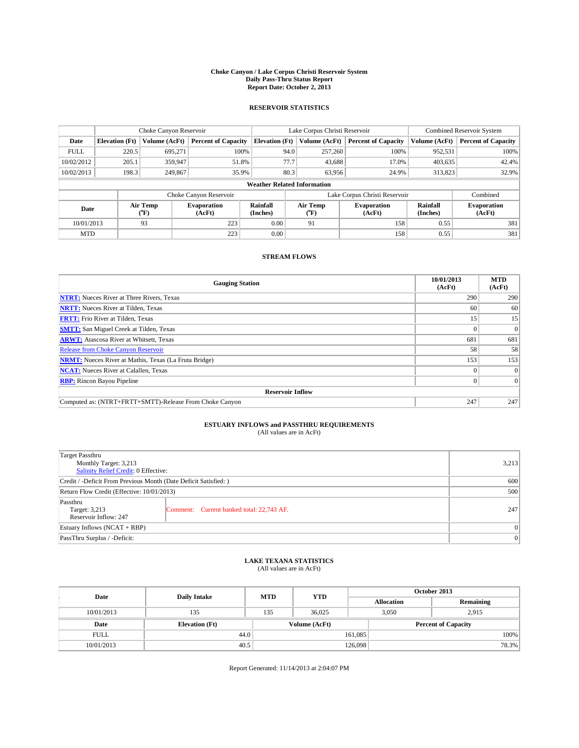### **Choke Canyon / Lake Corpus Christi Reservoir System Daily Pass-Thru Status Report Report Date: October 2, 2013**

### **RESERVOIR STATISTICS**

|             |                                    | Choke Canyon Reservoir |                              |                       | Lake Corpus Christi Reservoir | <b>Combined Reservoir System</b> |                      |                              |  |
|-------------|------------------------------------|------------------------|------------------------------|-----------------------|-------------------------------|----------------------------------|----------------------|------------------------------|--|
| Date        | <b>Elevation</b> (Ft)              | Volume (AcFt)          | <b>Percent of Capacity</b>   | <b>Elevation (Ft)</b> | Volume (AcFt)                 | <b>Percent of Capacity</b>       | Volume (AcFt)        | <b>Percent of Capacity</b>   |  |
| <b>FULL</b> | 220.5                              | 695.271                | 100%                         | 94.0                  | 257,260                       | 100%                             | 952,531              | 100%                         |  |
| 10/02/2012  | 205.1                              | 359,947                | 51.8%                        | 77.7                  | 43,688                        | 17.0%                            | 403,635              | 42.4%                        |  |
| 10/02/2013  | 198.3                              | 249,867                | 35.9%                        | 80.3                  | 63.956                        | 24.9%                            | 313,823              | 32.9%                        |  |
|             | <b>Weather Related Information</b> |                        |                              |                       |                               |                                  |                      |                              |  |
|             |                                    |                        | Choke Canyon Reservoir       |                       |                               | Lake Corpus Christi Reservoir    |                      | Combined                     |  |
| Date        |                                    | Air Temp<br>(°F)       | <b>Evaporation</b><br>(AcFt) | Rainfall<br>(Inches)  | Air Temp<br>(°F)              | <b>Evaporation</b><br>(AcFt)     | Rainfall<br>(Inches) | <b>Evaporation</b><br>(AcFt) |  |
| 10/01/2013  |                                    | 93                     | 223                          | 0.00                  | 91                            | 158                              | 0.55                 | 381                          |  |
| <b>MTD</b>  |                                    |                        | 223                          | 0.00                  |                               | 158                              | 0.55                 | 381                          |  |

## **STREAM FLOWS**

| <b>Gauging Station</b>                                       | 10/01/2013<br>(AcFt) | <b>MTD</b><br>(AcFt) |  |  |  |  |
|--------------------------------------------------------------|----------------------|----------------------|--|--|--|--|
| <b>NTRT:</b> Nueces River at Three Rivers, Texas             | 290                  | 290                  |  |  |  |  |
| <b>NRTT:</b> Nueces River at Tilden, Texas                   | 60                   | 60                   |  |  |  |  |
| <b>FRTT:</b> Frio River at Tilden, Texas                     | 15                   | 15                   |  |  |  |  |
| <b>SMTT:</b> San Miguel Creek at Tilden, Texas               |                      | $\Omega$             |  |  |  |  |
| <b>ARWT:</b> Atascosa River at Whitsett, Texas               | 681                  | 681                  |  |  |  |  |
| <b>Release from Choke Canyon Reservoir</b>                   | 58                   | 58                   |  |  |  |  |
| <b>NRMT:</b> Nueces River at Mathis, Texas (La Fruta Bridge) | 153                  | 153                  |  |  |  |  |
| <b>NCAT:</b> Nueces River at Calallen, Texas                 |                      | $\Omega$             |  |  |  |  |
| <b>RBP:</b> Rincon Bayou Pipeline                            |                      | $\Omega$             |  |  |  |  |
| <b>Reservoir Inflow</b>                                      |                      |                      |  |  |  |  |
| Computed as: (NTRT+FRTT+SMTT)-Release From Choke Canyon      | 247                  | 247                  |  |  |  |  |

# **ESTUARY INFLOWS and PASSTHRU REQUIREMENTS**<br>(All values are in AcFt)

| Target Passthru<br>Monthly Target: 3,213<br>Salinity Relief Credit: 0 Effective: |                                           |     |  |  |
|----------------------------------------------------------------------------------|-------------------------------------------|-----|--|--|
| Credit / -Deficit From Previous Month (Date Deficit Satisfied: )                 |                                           |     |  |  |
| Return Flow Credit (Effective: 10/01/2013)                                       | 500                                       |     |  |  |
| Passthru<br>Target: 3,213<br>Reservoir Inflow: 247                               | Comment: Current banked total: 22,743 AF. | 247 |  |  |
| Estuary Inflows (NCAT + RBP)                                                     | $\Omega$                                  |     |  |  |
| PassThru Surplus / -Deficit:                                                     | 0                                         |     |  |  |

## **LAKE TEXANA STATISTICS** (All values are in AcFt)

| Date        | <b>Daily Intake</b>   | <b>MTD</b> | <b>YTD</b>    | October 2013      |                            |           |  |
|-------------|-----------------------|------------|---------------|-------------------|----------------------------|-----------|--|
|             |                       |            |               | <b>Allocation</b> |                            | Remaining |  |
| 10/01/2013  | 135                   | 135        | 36,025        |                   | 3,050<br>2,915             |           |  |
| Date        | <b>Elevation</b> (Ft) |            | Volume (AcFt) |                   | <b>Percent of Capacity</b> |           |  |
| <b>FULL</b> | 44.0                  |            |               | 161,085           |                            | 100%      |  |
| 10/01/2013  | 40.5                  |            |               | 126,098           |                            | 78.3%     |  |

Report Generated: 11/14/2013 at 2:04:07 PM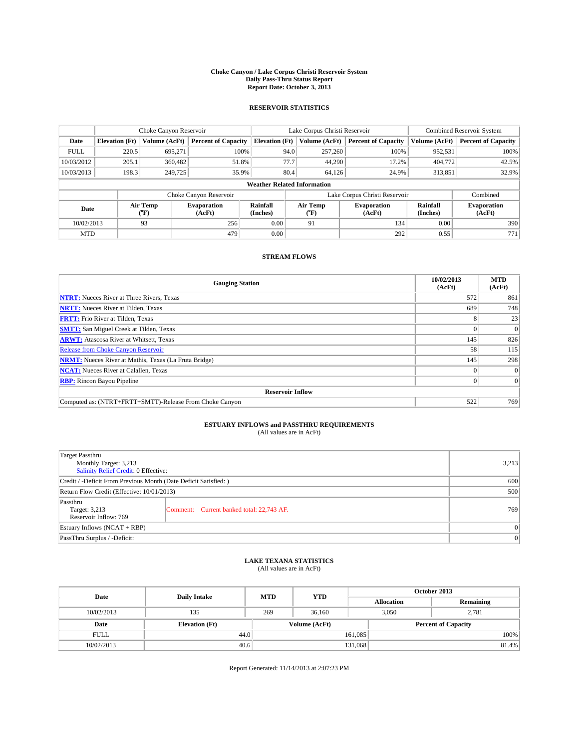### **Choke Canyon / Lake Corpus Christi Reservoir System Daily Pass-Thru Status Report Report Date: October 3, 2013**

### **RESERVOIR STATISTICS**

|             |                                    | Choke Canyon Reservoir |                              |                       | Lake Corpus Christi Reservoir | Combined Reservoir System     |                      |                              |  |
|-------------|------------------------------------|------------------------|------------------------------|-----------------------|-------------------------------|-------------------------------|----------------------|------------------------------|--|
| Date        | <b>Elevation</b> (Ft)              | Volume (AcFt)          | <b>Percent of Capacity</b>   | <b>Elevation (Ft)</b> | Volume (AcFt)                 | <b>Percent of Capacity</b>    | Volume (AcFt)        | <b>Percent of Capacity</b>   |  |
| <b>FULL</b> | 220.5                              | 695.271                | 100%                         | 94.0                  | 257,260                       | 100%                          | 952,531              | 100%                         |  |
| 10/03/2012  | 205.1                              | 360,482                | 51.8%                        | 77.7                  | 44,290                        | 17.2%                         | 404,772              | 42.5%                        |  |
| 10/03/2013  | 198.3                              | 249,725                | 35.9%                        | 80.4                  | 64.126                        | 24.9%                         | 313,851              | 32.9%                        |  |
|             | <b>Weather Related Information</b> |                        |                              |                       |                               |                               |                      |                              |  |
|             |                                    |                        | Choke Canyon Reservoir       |                       |                               | Lake Corpus Christi Reservoir |                      | Combined                     |  |
| Date        |                                    | Air Temp<br>(°F)       | <b>Evaporation</b><br>(AcFt) | Rainfall<br>(Inches)  | Air Temp<br>$(^oF)$           | <b>Evaporation</b><br>(AcFt)  | Rainfall<br>(Inches) | <b>Evaporation</b><br>(AcFt) |  |
| 10/02/2013  |                                    | 93                     | 256                          | 0.00                  | 91                            | 134                           | 0.00                 | 390                          |  |
| <b>MTD</b>  |                                    |                        | 479                          | 0.00                  |                               | 292                           | 0.55                 | 771                          |  |

## **STREAM FLOWS**

| <b>Gauging Station</b>                                       | 10/02/2013<br>(AcFt) | <b>MTD</b><br>(AcFt) |  |  |  |  |
|--------------------------------------------------------------|----------------------|----------------------|--|--|--|--|
| <b>NTRT:</b> Nueces River at Three Rivers, Texas             | 572                  | 861                  |  |  |  |  |
| <b>NRTT:</b> Nueces River at Tilden, Texas                   | 689                  | 748                  |  |  |  |  |
| <b>FRTT:</b> Frio River at Tilden, Texas                     | 8                    | 23                   |  |  |  |  |
| <b>SMTT:</b> San Miguel Creek at Tilden, Texas               |                      | $\Omega$             |  |  |  |  |
| <b>ARWT:</b> Atascosa River at Whitsett, Texas               | 145                  | 826                  |  |  |  |  |
| <b>Release from Choke Canyon Reservoir</b>                   | 58                   | 115                  |  |  |  |  |
| <b>NRMT:</b> Nueces River at Mathis, Texas (La Fruta Bridge) | 145                  | 298                  |  |  |  |  |
| <b>NCAT:</b> Nueces River at Calallen, Texas                 |                      | $\Omega$             |  |  |  |  |
| <b>RBP:</b> Rincon Bayou Pipeline                            |                      | $\Omega$             |  |  |  |  |
| <b>Reservoir Inflow</b>                                      |                      |                      |  |  |  |  |
| Computed as: (NTRT+FRTT+SMTT)-Release From Choke Canyon      | 522                  | 769                  |  |  |  |  |

# **ESTUARY INFLOWS and PASSTHRU REQUIREMENTS**<br>(All values are in AcFt)

| Target Passthru<br>Monthly Target: 3,213<br>Salinity Relief Credit: 0 Effective: |                                           | 3,213 |  |  |
|----------------------------------------------------------------------------------|-------------------------------------------|-------|--|--|
| Credit / -Deficit From Previous Month (Date Deficit Satisfied: )                 |                                           |       |  |  |
| Return Flow Credit (Effective: 10/01/2013)                                       |                                           |       |  |  |
| Passthru<br>Target: 3,213<br>Reservoir Inflow: 769                               | Comment: Current banked total: 22,743 AF. | 769   |  |  |
| Estuary Inflows (NCAT + RBP)                                                     | $\Omega$                                  |       |  |  |
| PassThru Surplus / -Deficit:                                                     | $\Omega$                                  |       |  |  |

## **LAKE TEXANA STATISTICS** (All values are in AcFt)

| Date        | <b>Daily Intake</b>   | <b>MTD</b> | <b>YTD</b>    | October 2013      |                            |           |  |
|-------------|-----------------------|------------|---------------|-------------------|----------------------------|-----------|--|
|             |                       |            |               | <b>Allocation</b> |                            | Remaining |  |
| 10/02/2013  | 135                   | 269        | 36,160        |                   | 3,050<br>2,781             |           |  |
| Date        | <b>Elevation</b> (Ft) |            | Volume (AcFt) |                   | <b>Percent of Capacity</b> |           |  |
| <b>FULL</b> | 44.0                  |            |               | 161,085           |                            | 100%      |  |
| 10/02/2013  |                       | 40.6       |               | 131,068           |                            | 81.4%     |  |

Report Generated: 11/14/2013 at 2:07:23 PM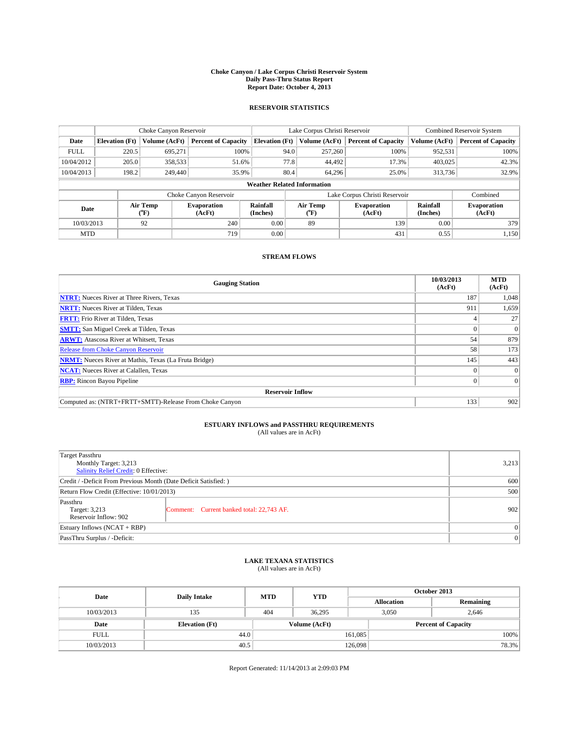### **Choke Canyon / Lake Corpus Christi Reservoir System Daily Pass-Thru Status Report Report Date: October 4, 2013**

### **RESERVOIR STATISTICS**

|             | Choke Canyon Reservoir             |                  |                              |                       | Lake Corpus Christi Reservoir | <b>Combined Reservoir System</b> |                      |                              |  |
|-------------|------------------------------------|------------------|------------------------------|-----------------------|-------------------------------|----------------------------------|----------------------|------------------------------|--|
| Date        | <b>Elevation</b> (Ft)              | Volume (AcFt)    | <b>Percent of Capacity</b>   | <b>Elevation (Ft)</b> | Volume (AcFt)                 | <b>Percent of Capacity</b>       | Volume (AcFt)        | Percent of Capacity          |  |
| <b>FULL</b> | 220.5                              | 695,271          | 100%                         | 94.0                  | 257,260                       | 100%                             | 952,531              | 100%                         |  |
| 10/04/2012  | 205.0                              | 358,533          | 51.6%                        | 77.8                  | 44,492                        | 17.3%                            | 403,025              | 42.3%                        |  |
| 10/04/2013  | 198.2                              | 249,440          | 35.9%                        | 80.4                  | 64.296                        | 25.0%                            | 313,736              | 32.9%                        |  |
|             | <b>Weather Related Information</b> |                  |                              |                       |                               |                                  |                      |                              |  |
|             |                                    |                  | Choke Canyon Reservoir       |                       |                               | Lake Corpus Christi Reservoir    |                      | Combined                     |  |
| Date        |                                    | Air Temp<br>(°F) | <b>Evaporation</b><br>(AcFt) | Rainfall<br>(Inches)  | Air Temp<br>("F)              | <b>Evaporation</b><br>(AcFt)     | Rainfall<br>(Inches) | <b>Evaporation</b><br>(AcFt) |  |
| 10/03/2013  | 240<br>92                          |                  | 0.00                         | 89                    | 139                           | 0.00                             | 379                  |                              |  |
| <b>MTD</b>  |                                    |                  | 719                          | 0.00                  |                               | 431                              | 0.55                 | 1,150                        |  |

## **STREAM FLOWS**

| <b>Gauging Station</b>                                       | 10/03/2013<br>(AcFt) | <b>MTD</b><br>(AcFt) |  |  |  |  |
|--------------------------------------------------------------|----------------------|----------------------|--|--|--|--|
| <b>NTRT:</b> Nueces River at Three Rivers, Texas             | 187                  | 1,048                |  |  |  |  |
| <b>NRTT:</b> Nueces River at Tilden, Texas                   | 911                  | 1,659                |  |  |  |  |
| <b>FRTT:</b> Frio River at Tilden, Texas                     |                      | 27                   |  |  |  |  |
| <b>SMTT:</b> San Miguel Creek at Tilden, Texas               |                      | $\Omega$             |  |  |  |  |
| <b>ARWT:</b> Atascosa River at Whitsett, Texas               | 54                   | 879                  |  |  |  |  |
| <b>Release from Choke Canyon Reservoir</b>                   | 58                   | 173                  |  |  |  |  |
| <b>NRMT:</b> Nueces River at Mathis, Texas (La Fruta Bridge) | 145                  | 443                  |  |  |  |  |
| <b>NCAT:</b> Nueces River at Calallen, Texas                 |                      | $\overline{0}$       |  |  |  |  |
| <b>RBP:</b> Rincon Bayou Pipeline                            | $\Omega$             | $\Omega$             |  |  |  |  |
| <b>Reservoir Inflow</b>                                      |                      |                      |  |  |  |  |
| Computed as: (NTRT+FRTT+SMTT)-Release From Choke Canyon      | 133                  | 902                  |  |  |  |  |

# **ESTUARY INFLOWS and PASSTHRU REQUIREMENTS**<br>(All values are in AcFt)

| Target Passthru<br>Monthly Target: 3,213<br>Salinity Relief Credit: 0 Effective: | 3,213                                     |     |  |
|----------------------------------------------------------------------------------|-------------------------------------------|-----|--|
| Credit / -Deficit From Previous Month (Date Deficit Satisfied: )                 |                                           |     |  |
| Return Flow Credit (Effective: 10/01/2013)                                       |                                           |     |  |
| Passthru<br>Target: 3,213<br>Reservoir Inflow: 902                               | Comment: Current banked total: 22,743 AF. | 902 |  |
| Estuary Inflows (NCAT + RBP)                                                     |                                           |     |  |
| PassThru Surplus / -Deficit:                                                     | 0                                         |     |  |

## **LAKE TEXANA STATISTICS** (All values are in AcFt)

| Date        | <b>Daily Intake</b>   | <b>MTD</b> | <b>YTD</b>    | October 2013      |                            |           |  |
|-------------|-----------------------|------------|---------------|-------------------|----------------------------|-----------|--|
|             |                       |            |               | <b>Allocation</b> |                            | Remaining |  |
| 10/03/2013  | 135                   | 404        | 36,295        |                   | 3,050<br>2,646             |           |  |
| Date        | <b>Elevation</b> (Ft) |            | Volume (AcFt) |                   | <b>Percent of Capacity</b> |           |  |
| <b>FULL</b> | 44.0                  |            |               | 161,085           |                            | 100%      |  |
| 10/03/2013  | 40.5                  |            |               | 126,098           |                            | 78.3%     |  |

Report Generated: 11/14/2013 at 2:09:03 PM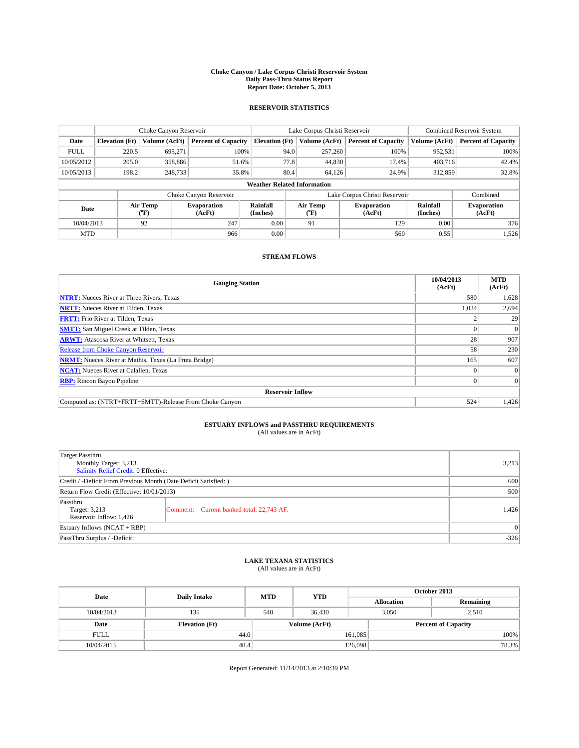### **Choke Canyon / Lake Corpus Christi Reservoir System Daily Pass-Thru Status Report Report Date: October 5, 2013**

### **RESERVOIR STATISTICS**

|                                    | Choke Canyon Reservoir             |                    |                            |                       | Lake Corpus Christi Reservoir | <b>Combined Reservoir System</b> |                              |                            |  |
|------------------------------------|------------------------------------|--------------------|----------------------------|-----------------------|-------------------------------|----------------------------------|------------------------------|----------------------------|--|
| Date                               | <b>Elevation</b> (Ft)              | Volume (AcFt)      | <b>Percent of Capacity</b> | <b>Elevation (Ft)</b> | Volume (AcFt)                 | <b>Percent of Capacity</b>       | Volume (AcFt)                | <b>Percent of Capacity</b> |  |
| <b>FULL</b>                        | 220.5                              | 695,271            | 100%                       | 94.0                  | 257,260                       | 100%                             | 952,531                      | 100%                       |  |
| 10/05/2012                         | 205.0                              | 358,886            | 51.6%                      | 77.8                  | 44,830                        | 17.4%                            | 403,716                      | 42.4%                      |  |
| 10/05/2013                         | 198.2                              | 248,733            | 35.8%                      | 80.4                  | 64.126                        | 24.9%                            | 312,859                      | 32.8%                      |  |
|                                    | <b>Weather Related Information</b> |                    |                            |                       |                               |                                  |                              |                            |  |
|                                    |                                    |                    | Choke Canyon Reservoir     |                       |                               | Lake Corpus Christi Reservoir    |                              | Combined                   |  |
| Air Temp<br>Date<br>(°F)<br>(AcFt) |                                    | <b>Evaporation</b> | Rainfall<br>(Inches)       | Air Temp<br>(°F)      | <b>Evaporation</b><br>(AcFt)  | Rainfall<br>(Inches)             | <b>Evaporation</b><br>(AcFt) |                            |  |
| 10/04/2013                         |                                    | 92                 | 247                        | 0.00                  | 91                            | 129                              | 0.00                         | 376                        |  |
| <b>MTD</b>                         |                                    |                    | 966                        | 0.00                  |                               | 560                              | 0.55                         | 1,526                      |  |

## **STREAM FLOWS**

| <b>Gauging Station</b>                                       | 10/04/2013<br>(AcFt) | <b>MTD</b><br>(AcFt) |  |  |  |  |
|--------------------------------------------------------------|----------------------|----------------------|--|--|--|--|
| <b>NTRT:</b> Nueces River at Three Rivers, Texas             | 580                  | 1,628                |  |  |  |  |
| <b>NRTT:</b> Nueces River at Tilden, Texas                   | 1,034                | 2,694                |  |  |  |  |
| <b>FRTT:</b> Frio River at Tilden, Texas                     |                      | 29                   |  |  |  |  |
| <b>SMTT:</b> San Miguel Creek at Tilden, Texas               |                      | $\Omega$             |  |  |  |  |
| <b>ARWT:</b> Atascosa River at Whitsett, Texas               | 28                   | 907                  |  |  |  |  |
| <b>Release from Choke Canyon Reservoir</b>                   | 58                   | 230                  |  |  |  |  |
| <b>NRMT:</b> Nueces River at Mathis, Texas (La Fruta Bridge) | 165                  | 607                  |  |  |  |  |
| <b>NCAT:</b> Nueces River at Calallen, Texas                 |                      | $\Omega$             |  |  |  |  |
| <b>RBP:</b> Rincon Bayou Pipeline                            |                      | $\Omega$             |  |  |  |  |
| <b>Reservoir Inflow</b>                                      |                      |                      |  |  |  |  |
| Computed as: (NTRT+FRTT+SMTT)-Release From Choke Canyon      | 524                  | 1,426                |  |  |  |  |

# **ESTUARY INFLOWS and PASSTHRU REQUIREMENTS**<br>(All values are in AcFt)

| <b>Target Passthru</b><br>Monthly Target: 3,213<br>Salinity Relief Credit: 0 Effective: | 3,213                                     |       |
|-----------------------------------------------------------------------------------------|-------------------------------------------|-------|
| Credit / -Deficit From Previous Month (Date Deficit Satisfied: )                        | 600                                       |       |
| Return Flow Credit (Effective: 10/01/2013)                                              | 500                                       |       |
| Passthru<br>Target: 3,213<br>Reservoir Inflow: 1,426                                    | Comment: Current banked total: 22,743 AF. | 1,426 |
| Estuary Inflows $(NCAT + RBP)$                                                          | $\Omega$                                  |       |
| PassThru Surplus / -Deficit:                                                            | $-326$                                    |       |

## **LAKE TEXANA STATISTICS** (All values are in AcFt)

| Date        | <b>Daily Intake</b>   | <b>MTD</b> | <b>YTD</b>    | October 2013      |                            |  |  |
|-------------|-----------------------|------------|---------------|-------------------|----------------------------|--|--|
|             |                       |            |               | <b>Allocation</b> | Remaining                  |  |  |
| 10/04/2013  | 135                   | 540        | 36,430        | 3,050             | 2,510                      |  |  |
| Date        | <b>Elevation</b> (Ft) |            | Volume (AcFt) |                   | <b>Percent of Capacity</b> |  |  |
| <b>FULL</b> | 44.0                  |            |               | 161,085           | 100%                       |  |  |
| 10/04/2013  | 40.4                  |            |               | 126,098           | 78.3%                      |  |  |

Report Generated: 11/14/2013 at 2:10:39 PM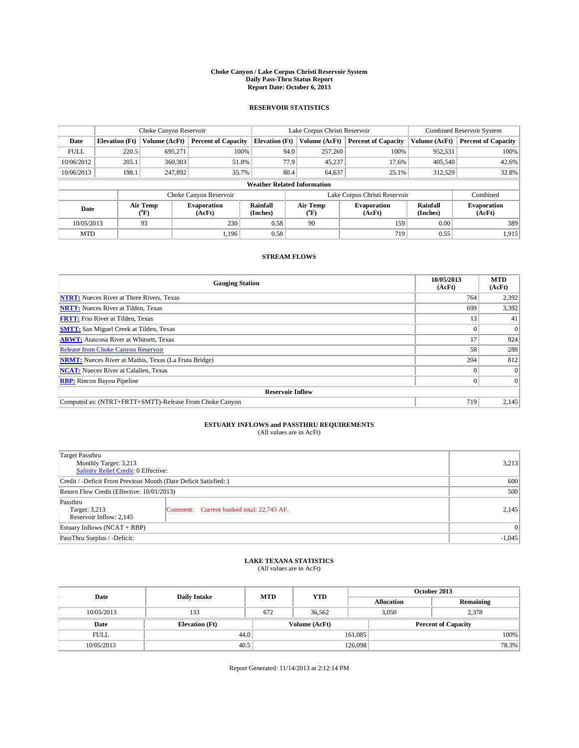### **Choke Canyon / Lake Corpus Christi Reservoir System Daily Pass-Thru Status Report Report Date: October 6, 2013**

### **RESERVOIR STATISTICS**

|             |                                    | Choke Canyon Reservoir |                              |                       | Lake Corpus Christi Reservoir | Combined Reservoir System     |                      |                              |  |
|-------------|------------------------------------|------------------------|------------------------------|-----------------------|-------------------------------|-------------------------------|----------------------|------------------------------|--|
| Date        | <b>Elevation</b> (Ft)              | Volume (AcFt)          | <b>Percent of Capacity</b>   | <b>Elevation (Ft)</b> | Volume (AcFt)                 | <b>Percent of Capacity</b>    | Volume (AcFt)        | <b>Percent of Capacity</b>   |  |
| <b>FULL</b> | 220.5                              | 695.271                | 100%                         | 94.0                  | 257,260                       | 100%                          | 952,531              | 100%                         |  |
| 10/06/2012  | 205.1                              | 360,303                | 51.8%                        | 77.9                  | 45,237                        | 17.6%                         | 405,540              | 42.6%                        |  |
| 10/06/2013  | 198.1                              | 247,892                | 35.7%                        | 80.4                  | 64.637                        | 25.1%                         | 312,529              | 32.8%                        |  |
|             | <b>Weather Related Information</b> |                        |                              |                       |                               |                               |                      |                              |  |
|             |                                    |                        | Choke Canyon Reservoir       |                       |                               | Lake Corpus Christi Reservoir |                      | Combined                     |  |
| Date        |                                    | Air Temp<br>(°F)       | <b>Evaporation</b><br>(AcFt) | Rainfall<br>(Inches)  | Air Temp<br>$(^{o}F)$         | <b>Evaporation</b><br>(AcFt)  | Rainfall<br>(Inches) | <b>Evaporation</b><br>(AcFt) |  |
| 10/05/2013  |                                    | 93                     | 230                          | 0.58                  | 90                            | 159<br>0.00                   |                      | 389                          |  |
| <b>MTD</b>  |                                    |                        | 1.196                        | 0.58                  |                               | 719                           | 0.55                 | 1,915                        |  |

### **STREAM FLOWS**

| <b>Gauging Station</b>                                       | 10/05/2013<br>(AcFt) | <b>MTD</b><br>(AcFt) |  |  |  |  |
|--------------------------------------------------------------|----------------------|----------------------|--|--|--|--|
| <b>NTRT:</b> Nueces River at Three Rivers, Texas             | 764                  | 2,392                |  |  |  |  |
| <b>NRTT:</b> Nueces River at Tilden, Texas                   | 699                  | 3,392                |  |  |  |  |
| <b>FRTT:</b> Frio River at Tilden, Texas                     | 13                   | 41                   |  |  |  |  |
| <b>SMTT:</b> San Miguel Creek at Tilden, Texas               |                      | $\Omega$             |  |  |  |  |
| <b>ARWT:</b> Atascosa River at Whitsett, Texas               | 17                   | 924                  |  |  |  |  |
| <b>Release from Choke Canyon Reservoir</b>                   | 58                   | 288                  |  |  |  |  |
| <b>NRMT:</b> Nueces River at Mathis, Texas (La Fruta Bridge) | 204                  | 812                  |  |  |  |  |
| <b>NCAT:</b> Nueces River at Calallen, Texas                 |                      |                      |  |  |  |  |
| <b>RBP:</b> Rincon Bayou Pipeline                            | $\Omega$             | $\Omega$             |  |  |  |  |
| <b>Reservoir Inflow</b>                                      |                      |                      |  |  |  |  |
| Computed as: (NTRT+FRTT+SMTT)-Release From Choke Canyon      | 719                  | 2,145                |  |  |  |  |

# **ESTUARY INFLOWS and PASSTHRU REQUIREMENTS**<br>(All values are in AcFt)

| <b>Target Passthru</b><br>Monthly Target: 3,213<br>Salinity Relief Credit: 0 Effective: | 3,213                                     |       |  |
|-----------------------------------------------------------------------------------------|-------------------------------------------|-------|--|
| Credit / -Deficit From Previous Month (Date Deficit Satisfied: )                        |                                           |       |  |
| Return Flow Credit (Effective: 10/01/2013)                                              |                                           |       |  |
| Passthru<br>Target: 3,213<br>Reservoir Inflow: 2,145                                    | Comment: Current banked total: 22,743 AF. | 2,145 |  |
| Estuary Inflows $(NCAT + RBP)$                                                          |                                           |       |  |
| PassThru Surplus / -Deficit:                                                            | $-1,045$                                  |       |  |

## **LAKE TEXANA STATISTICS** (All values are in AcFt)

| Date        | <b>Daily Intake</b>   | <b>MTD</b> | <b>YTD</b>    | October 2013      |                            |           |  |
|-------------|-----------------------|------------|---------------|-------------------|----------------------------|-----------|--|
|             |                       |            |               | <b>Allocation</b> |                            | Remaining |  |
| 10/05/2013  | 133                   | 672        | 36.562        |                   | 2,378<br>3,050             |           |  |
| Date        | <b>Elevation</b> (Ft) |            | Volume (AcFt) |                   | <b>Percent of Capacity</b> |           |  |
| <b>FULL</b> |                       | 44.0       |               | 161,085           |                            | 100%      |  |
| 10/05/2013  | 40.5                  |            |               | 126,098           |                            | 78.3%     |  |

Report Generated: 11/14/2013 at 2:12:14 PM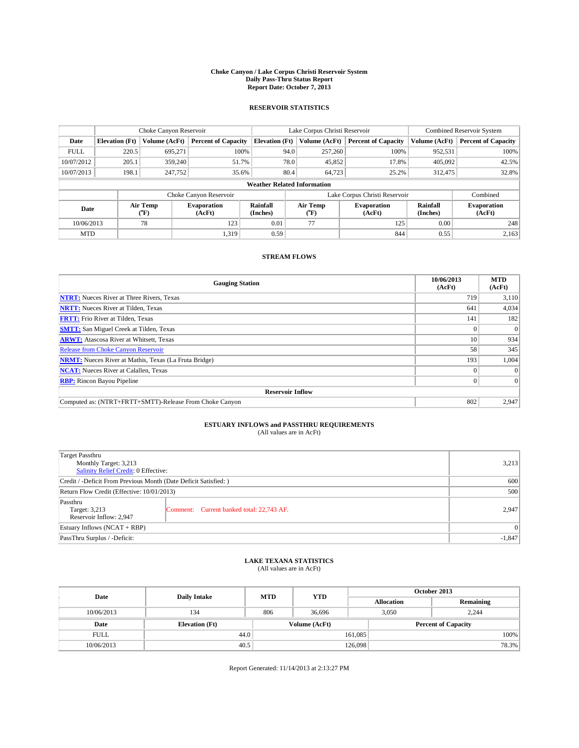### **Choke Canyon / Lake Corpus Christi Reservoir System Daily Pass-Thru Status Report Report Date: October 7, 2013**

### **RESERVOIR STATISTICS**

|             |                       | Choke Canyon Reservoir |                              |                                    | Lake Corpus Christi Reservoir             | <b>Combined Reservoir System</b> |                      |                              |
|-------------|-----------------------|------------------------|------------------------------|------------------------------------|-------------------------------------------|----------------------------------|----------------------|------------------------------|
| Date        | <b>Elevation</b> (Ft) | Volume (AcFt)          | <b>Percent of Capacity</b>   | <b>Elevation</b> (Ft)              | Volume (AcFt)                             | <b>Percent of Capacity</b>       | Volume (AcFt)        | <b>Percent of Capacity</b>   |
| <b>FULL</b> | 220.5                 | 695,271                | 100%                         | 94.0                               | 257,260                                   | 100%                             | 952,531              | 100%                         |
| 10/07/2012  | 205.1                 | 359,240                | 51.7%                        | 78.0                               | 45,852                                    | 17.8%                            | 405,092              | 42.5%                        |
| 10/07/2013  | 198.1                 | 247,752                | 35.6%                        | 80.4                               | 64.723                                    | 25.2%                            | 312,475              | 32.8%                        |
|             |                       |                        |                              | <b>Weather Related Information</b> |                                           |                                  |                      |                              |
|             |                       |                        | Choke Canyon Reservoir       |                                    | Lake Corpus Christi Reservoir<br>Combined |                                  |                      |                              |
| Date        |                       | Air Temp<br>(°F)       | <b>Evaporation</b><br>(AcFt) | Rainfall<br>(Inches)               | Air Temp<br>("F)                          | <b>Evaporation</b><br>(AcFt)     | Rainfall<br>(Inches) | <b>Evaporation</b><br>(AcFt) |
| 10/06/2013  |                       | 78                     | 123                          | 0.01                               | 77                                        | 125                              | 0.00                 | 248                          |
| <b>MTD</b>  |                       |                        | 1,319                        | 0.59                               |                                           | 844                              | 0.55                 | 2,163                        |

## **STREAM FLOWS**

| <b>Gauging Station</b>                                       | 10/06/2013<br>(AcFt) | <b>MTD</b><br>(AcFt) |
|--------------------------------------------------------------|----------------------|----------------------|
| <b>NTRT:</b> Nueces River at Three Rivers, Texas             | 719                  | 3,110                |
| <b>NRTT:</b> Nueces River at Tilden, Texas                   | 641                  | 4,034                |
| <b>FRTT:</b> Frio River at Tilden, Texas                     | 141                  | 182                  |
| <b>SMTT:</b> San Miguel Creek at Tilden, Texas               |                      | $\Omega$             |
| <b>ARWT:</b> Atascosa River at Whitsett, Texas               | 10                   | 934                  |
| <b>Release from Choke Canyon Reservoir</b>                   | 58                   | 345                  |
| <b>NRMT:</b> Nueces River at Mathis, Texas (La Fruta Bridge) | 193                  | 1,004                |
| <b>NCAT:</b> Nueces River at Calallen, Texas                 |                      | $\Omega$             |
| <b>RBP:</b> Rincon Bayou Pipeline                            | $\Omega$             | $\Omega$             |
| <b>Reservoir Inflow</b>                                      |                      |                      |
| Computed as: (NTRT+FRTT+SMTT)-Release From Choke Canyon      | 802                  | 2,947                |

# **ESTUARY INFLOWS and PASSTHRU REQUIREMENTS**<br>(All values are in AcFt)

| Target Passthru                                                  |                                           |       |  |  |
|------------------------------------------------------------------|-------------------------------------------|-------|--|--|
| Monthly Target: 3,213                                            |                                           |       |  |  |
| Salinity Relief Credit: 0 Effective:                             |                                           |       |  |  |
| Credit / -Deficit From Previous Month (Date Deficit Satisfied: ) |                                           |       |  |  |
| Return Flow Credit (Effective: 10/01/2013)                       |                                           |       |  |  |
| Passthru<br>Target: 3,213                                        | Comment: Current banked total: 22,743 AF. | 2,947 |  |  |
| Reservoir Inflow: 2,947                                          |                                           |       |  |  |
| Estuary Inflows (NCAT + RBP)                                     |                                           |       |  |  |
| PassThru Surplus / -Deficit:                                     | $-1,847$                                  |       |  |  |

# **LAKE TEXANA STATISTICS** (All values are in AcFt)

| Date        | <b>Daily Intake</b>   | <b>MTD</b> | <b>YTD</b>    | October 2013      |                            |           |       |
|-------------|-----------------------|------------|---------------|-------------------|----------------------------|-----------|-------|
|             |                       |            |               | <b>Allocation</b> |                            | Remaining |       |
| 10/06/2013  | 134                   | 806        | 36,696        |                   | 3,050<br>2,244             |           |       |
| Date        | <b>Elevation</b> (Ft) |            | Volume (AcFt) |                   | <b>Percent of Capacity</b> |           |       |
| <b>FULL</b> | 44.0                  |            |               | 161,085           |                            |           | 100%  |
| 10/06/2013  | 40.5                  |            |               | 126,098           |                            |           | 78.3% |

Report Generated: 11/14/2013 at 2:13:27 PM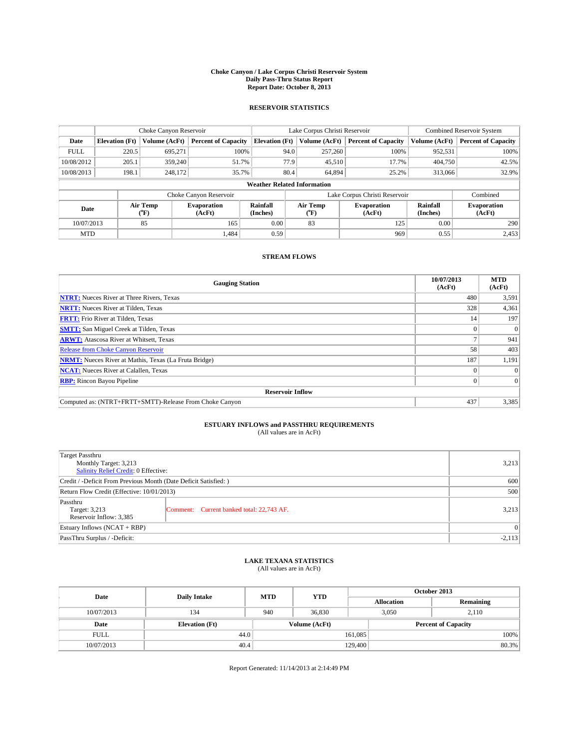### **Choke Canyon / Lake Corpus Christi Reservoir System Daily Pass-Thru Status Report Report Date: October 8, 2013**

### **RESERVOIR STATISTICS**

|             |                       | Choke Canyon Reservoir |                              |                                    | Lake Corpus Christi Reservoir             | <b>Combined Reservoir System</b> |                      |                              |
|-------------|-----------------------|------------------------|------------------------------|------------------------------------|-------------------------------------------|----------------------------------|----------------------|------------------------------|
| Date        | <b>Elevation</b> (Ft) | Volume (AcFt)          | <b>Percent of Capacity</b>   | <b>Elevation (Ft)</b>              | Volume (AcFt)                             | <b>Percent of Capacity</b>       | Volume (AcFt)        | <b>Percent of Capacity</b>   |
| <b>FULL</b> | 220.5                 | 695.271                | 100%                         | 94.0                               | 257,260                                   | 100%                             | 952,531              | 100%                         |
| 10/08/2012  | 205.1                 | 359,240                | 51.7%                        |                                    | 77.9<br>45,510                            | 17.7%                            | 404,750              | 42.5%                        |
| 10/08/2013  | 198.1                 | 248,172                | 35.7%                        | 80.4                               | 64,894                                    | 25.2%                            | 313,066              | 32.9%                        |
|             |                       |                        |                              | <b>Weather Related Information</b> |                                           |                                  |                      |                              |
|             |                       |                        | Choke Canyon Reservoir       |                                    | Lake Corpus Christi Reservoir<br>Combined |                                  |                      |                              |
| Date        |                       | Air Temp<br>(°F)       | <b>Evaporation</b><br>(AcFt) | Rainfall<br>(Inches)               | Air Temp<br>$(^{o}F)$                     | <b>Evaporation</b><br>(AcFt)     | Rainfall<br>(Inches) | <b>Evaporation</b><br>(AcFt) |
| 10/07/2013  |                       | 85                     | 165                          | 0.00                               | 83                                        | 125                              | 0.00                 | 290                          |
| <b>MTD</b>  |                       |                        | 1.484                        | 0.59                               |                                           | 969                              | 0.55                 | 2,453                        |

### **STREAM FLOWS**

| <b>Gauging Station</b>                                       | 10/07/2013<br>(AcFt) | <b>MTD</b><br>(AcFt) |
|--------------------------------------------------------------|----------------------|----------------------|
| <b>NTRT:</b> Nueces River at Three Rivers, Texas             | 480                  | 3,591                |
| <b>NRTT:</b> Nueces River at Tilden, Texas                   | 328                  | 4,361                |
| <b>FRTT:</b> Frio River at Tilden, Texas                     | 14                   | 197                  |
| <b>SMTT:</b> San Miguel Creek at Tilden, Texas               |                      | $\Omega$             |
| <b>ARWT:</b> Atascosa River at Whitsett, Texas               |                      | 941                  |
| <b>Release from Choke Canyon Reservoir</b>                   | 58                   | 403                  |
| <b>NRMT:</b> Nueces River at Mathis, Texas (La Fruta Bridge) | 187                  | 1,191                |
| <b>NCAT:</b> Nueces River at Calallen, Texas                 |                      | $\Omega$             |
| <b>RBP:</b> Rincon Bayou Pipeline                            |                      | $\Omega$             |
| <b>Reservoir Inflow</b>                                      |                      |                      |
| Computed as: (NTRT+FRTT+SMTT)-Release From Choke Canyon      | 437                  | 3,385                |

# **ESTUARY INFLOWS and PASSTHRU REQUIREMENTS**<br>(All values are in AcFt)

| Target Passthru<br>Monthly Target: 3,213<br>Salinity Relief Credit: 0 Effective: |                                           | 3,213 |  |
|----------------------------------------------------------------------------------|-------------------------------------------|-------|--|
| Credit / -Deficit From Previous Month (Date Deficit Satisfied: )                 |                                           |       |  |
| Return Flow Credit (Effective: 10/01/2013)                                       |                                           |       |  |
| Passthru<br>Target: 3,213<br>Reservoir Inflow: 3,385                             | Comment: Current banked total: 22,743 AF. | 3,213 |  |
| Estuary Inflows (NCAT + RBP)                                                     | $\Omega$                                  |       |  |
| PassThru Surplus / -Deficit:                                                     |                                           |       |  |

## **LAKE TEXANA STATISTICS** (All values are in AcFt)

| Date        | <b>Daily Intake</b>   | <b>MTD</b> | <b>YTD</b>    | October 2013      |                            |           |       |
|-------------|-----------------------|------------|---------------|-------------------|----------------------------|-----------|-------|
|             |                       |            |               | <b>Allocation</b> |                            | Remaining |       |
| 10/07/2013  | 134                   | 940        | 36,830        |                   | 3,050<br>2,110             |           |       |
| Date        | <b>Elevation</b> (Ft) |            | Volume (AcFt) |                   | <b>Percent of Capacity</b> |           |       |
| <b>FULL</b> | 44.0                  |            |               | 161,085           |                            |           | 100%  |
| 10/07/2013  | 40.4                  |            |               | 129,400           |                            |           | 80.3% |

Report Generated: 11/14/2013 at 2:14:49 PM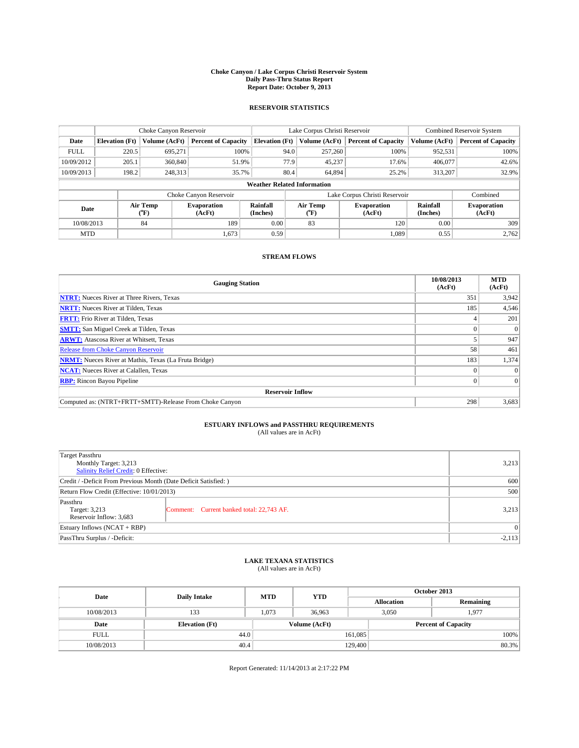### **Choke Canyon / Lake Corpus Christi Reservoir System Daily Pass-Thru Status Report Report Date: October 9, 2013**

### **RESERVOIR STATISTICS**

|             |                       | Choke Canyon Reservoir |                              |                                    | Lake Corpus Christi Reservoir | <b>Combined Reservoir System</b> |                      |                              |
|-------------|-----------------------|------------------------|------------------------------|------------------------------------|-------------------------------|----------------------------------|----------------------|------------------------------|
| Date        | <b>Elevation</b> (Ft) | Volume (AcFt)          | <b>Percent of Capacity</b>   | <b>Elevation (Ft)</b>              | Volume (AcFt)                 | <b>Percent of Capacity</b>       | Volume (AcFt)        | Percent of Capacity          |
| <b>FULL</b> | 220.5                 | 695,271                | 100%                         | 94.0                               | 257,260                       | 100%                             | 952,531              | 100%                         |
| 10/09/2012  | 205.1                 | 360,840                | 51.9%                        | 77.9                               | 45,237                        | 17.6%                            | 406,077              | $42.6\%$                     |
| 10/09/2013  | 198.2                 | 248,313                | 35.7%                        | 80.4                               | 64.894                        | 25.2%                            | 313.207              | 32.9%                        |
|             |                       |                        |                              | <b>Weather Related Information</b> |                               |                                  |                      |                              |
|             |                       |                        | Choke Canyon Reservoir       |                                    | Lake Corpus Christi Reservoir |                                  | Combined             |                              |
| Date        |                       | Air Temp<br>(°F)       | <b>Evaporation</b><br>(AcFt) | Rainfall<br>(Inches)               | Air Temp<br>(°F)              | <b>Evaporation</b><br>(AcFt)     | Rainfall<br>(Inches) | <b>Evaporation</b><br>(AcFt) |
| 10/08/2013  |                       | 84                     | 189                          | 0.00                               | 83                            | 120                              | 0.00                 | 309                          |
| <b>MTD</b>  |                       |                        | 1,673                        | 0.59                               |                               | 1,089                            | 0.55                 | 2,762                        |

## **STREAM FLOWS**

| <b>Gauging Station</b>                                       | 10/08/2013<br>(AcFt) | <b>MTD</b><br>(AcFt) |
|--------------------------------------------------------------|----------------------|----------------------|
| <b>NTRT:</b> Nueces River at Three Rivers, Texas             | 351                  | 3,942                |
| <b>NRTT:</b> Nueces River at Tilden, Texas                   | 185                  | 4,546                |
| <b>FRTT:</b> Frio River at Tilden, Texas                     |                      | 201                  |
| <b>SMTT:</b> San Miguel Creek at Tilden, Texas               |                      | $\Omega$             |
| <b>ARWT:</b> Atascosa River at Whitsett, Texas               |                      | 947                  |
| <b>Release from Choke Canyon Reservoir</b>                   | 58                   | 461                  |
| <b>NRMT:</b> Nueces River at Mathis, Texas (La Fruta Bridge) | 183                  | 1,374                |
| <b>NCAT:</b> Nueces River at Calallen, Texas                 |                      | $\Omega$             |
| <b>RBP:</b> Rincon Bayou Pipeline                            | $\Omega$             | $\Omega$             |
| <b>Reservoir Inflow</b>                                      |                      |                      |
| Computed as: (NTRT+FRTT+SMTT)-Release From Choke Canyon      | 298                  | 3,683                |

# **ESTUARY INFLOWS and PASSTHRU REQUIREMENTS**<br>(All values are in AcFt)

| <b>Target Passthru</b><br>Monthly Target: 3,213<br>Salinity Relief Credit: 0 Effective: |                                           | 3,213 |  |
|-----------------------------------------------------------------------------------------|-------------------------------------------|-------|--|
| Credit / -Deficit From Previous Month (Date Deficit Satisfied: )                        |                                           |       |  |
| Return Flow Credit (Effective: 10/01/2013)                                              |                                           |       |  |
| Passthru<br>Target: 3,213<br>Reservoir Inflow: 3,683                                    | Comment: Current banked total: 22,743 AF. | 3,213 |  |
| Estuary Inflows $(NCAT + RBP)$                                                          |                                           |       |  |
| PassThru Surplus / -Deficit:                                                            |                                           |       |  |

## **LAKE TEXANA STATISTICS** (All values are in AcFt)

| Date        | <b>Daily Intake</b>   | <b>MTD</b> | <b>YTD</b>    | October 2013      |                |                            |      |
|-------------|-----------------------|------------|---------------|-------------------|----------------|----------------------------|------|
|             |                       |            |               | <b>Allocation</b> |                | Remaining                  |      |
| 10/08/2013  | 133                   | 1,073      | 36,963        |                   | 3,050<br>1,977 |                            |      |
| Date        | <b>Elevation</b> (Ft) |            | Volume (AcFt) |                   |                | <b>Percent of Capacity</b> |      |
| <b>FULL</b> | 44.0                  |            |               | 161,085           |                |                            | 100% |
| 10/08/2013  | 40.4                  |            |               | 129,400           |                | 80.3%                      |      |

Report Generated: 11/14/2013 at 2:17:22 PM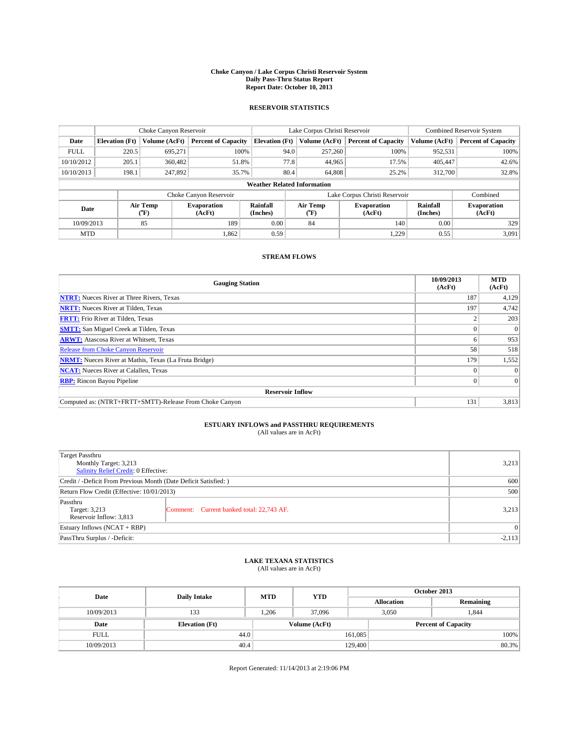### **Choke Canyon / Lake Corpus Christi Reservoir System Daily Pass-Thru Status Report Report Date: October 10, 2013**

### **RESERVOIR STATISTICS**

|             |                          | Choke Canyon Reservoir |                              |                                    | Lake Corpus Christi Reservoir | Combined Reservoir System  |               |                              |  |
|-------------|--------------------------|------------------------|------------------------------|------------------------------------|-------------------------------|----------------------------|---------------|------------------------------|--|
| Date        | <b>Elevation</b> (Ft)    | Volume (AcFt)          | <b>Percent of Capacity</b>   | <b>Elevation (Ft)</b>              | Volume (AcFt)                 | <b>Percent of Capacity</b> | Volume (AcFt) | <b>Percent of Capacity</b>   |  |
| <b>FULL</b> | 220.5                    | 695.271                | 100%                         | 94.0                               | 257,260                       | 100%                       | 952,531       | 100%                         |  |
| 10/10/2012  | 205.1                    | 360,482                | 51.8%                        | 77.8                               | 44,965                        | 17.5%                      | 405,447       | 42.6%                        |  |
| 10/10/2013  | 198.1                    | 247,892                | 35.7%                        | 80.4                               | 64,808                        | 25.2%                      | 312,700       | 32.8%                        |  |
|             |                          |                        |                              | <b>Weather Related Information</b> |                               |                            |               |                              |  |
|             |                          |                        | Choke Canyon Reservoir       |                                    | Lake Corpus Christi Reservoir |                            |               |                              |  |
|             | Air Temp<br>Date<br>(°F) |                        | <b>Evaporation</b><br>(AcFt) | Rainfall<br>(Inches)               | Air Temp<br>$(^{o}F)$         | Evaporation<br>(AcFt)      |               | <b>Evaporation</b><br>(AcFt) |  |
| 10/09/2013  |                          | 85                     | 189                          | 0.00                               | 84                            | 140                        | 0.00          | 329                          |  |
| <b>MTD</b>  |                          |                        | 1,862                        | 0.59                               |                               | 1,229                      | 0.55          | 3,091                        |  |

### **STREAM FLOWS**

| <b>Gauging Station</b>                                       | 10/09/2013<br>(AcFt) | <b>MTD</b><br>(AcFt) |
|--------------------------------------------------------------|----------------------|----------------------|
| <b>NTRT:</b> Nueces River at Three Rivers, Texas             | 187                  | 4,129                |
| <b>NRTT:</b> Nueces River at Tilden, Texas                   | 197                  | 4,742                |
| <b>FRTT:</b> Frio River at Tilden, Texas                     |                      | 203                  |
| <b>SMTT:</b> San Miguel Creek at Tilden, Texas               |                      | $\Omega$             |
| <b>ARWT:</b> Atascosa River at Whitsett, Texas               |                      | 953                  |
| <b>Release from Choke Canyon Reservoir</b>                   | 58                   | 518                  |
| <b>NRMT:</b> Nueces River at Mathis, Texas (La Fruta Bridge) | 179                  | 1,552                |
| <b>NCAT:</b> Nueces River at Calallen, Texas                 |                      | $\Omega$             |
| <b>RBP:</b> Rincon Bayou Pipeline                            | $\Omega$             | $\Omega$             |
| <b>Reservoir Inflow</b>                                      |                      |                      |
| Computed as: (NTRT+FRTT+SMTT)-Release From Choke Canyon      | 131                  | 3,813                |

# **ESTUARY INFLOWS and PASSTHRU REQUIREMENTS**<br>(All values are in AcFt)

| <b>Target Passthru</b><br>Monthly Target: 3,213<br>Salinity Relief Credit: 0 Effective: |                                           |       |  |  |
|-----------------------------------------------------------------------------------------|-------------------------------------------|-------|--|--|
| Credit / -Deficit From Previous Month (Date Deficit Satisfied: )                        |                                           |       |  |  |
| Return Flow Credit (Effective: 10/01/2013)                                              |                                           |       |  |  |
| Passthru<br>Target: 3,213<br>Reservoir Inflow: 3,813                                    | Comment: Current banked total: 22,743 AF. | 3,213 |  |  |
| Estuary Inflows $(NCAT + RBP)$                                                          |                                           |       |  |  |
| PassThru Surplus / -Deficit:                                                            |                                           |       |  |  |

## **LAKE TEXANA STATISTICS** (All values are in AcFt)

| Date        | <b>Daily Intake</b>   | <b>MTD</b> | <b>YTD</b>    | October 2013      |                            |           |       |
|-------------|-----------------------|------------|---------------|-------------------|----------------------------|-----------|-------|
|             |                       |            |               | <b>Allocation</b> |                            | Remaining |       |
| 10/09/2013  | 133                   | .206       | 37.096        |                   | 3,050<br>1,844             |           |       |
| Date        | <b>Elevation</b> (Ft) |            | Volume (AcFt) |                   | <b>Percent of Capacity</b> |           |       |
| <b>FULL</b> | 44.0                  |            |               | 161,085           |                            |           | 100%  |
| 10/09/2013  | 40.4                  |            |               | 129,400           |                            |           | 80.3% |

Report Generated: 11/14/2013 at 2:19:06 PM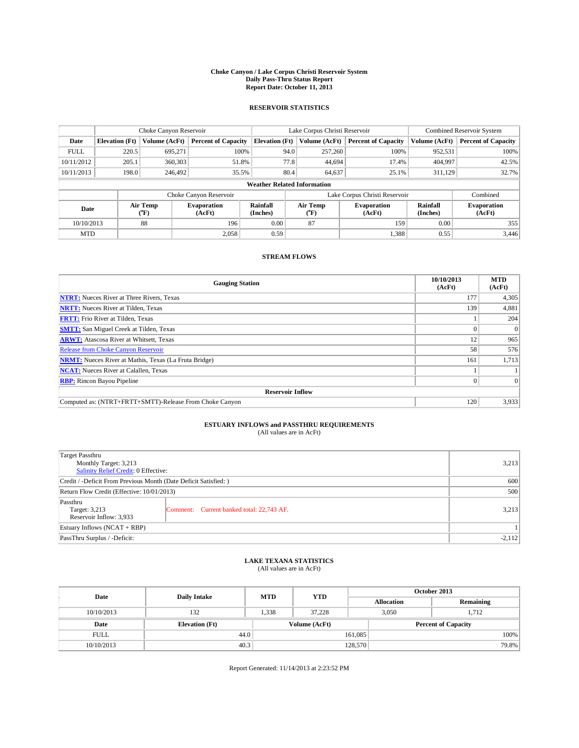### **Choke Canyon / Lake Corpus Christi Reservoir System Daily Pass-Thru Status Report Report Date: October 11, 2013**

### **RESERVOIR STATISTICS**

|             |                       | Choke Canyon Reservoir |                              |                                    | Lake Corpus Christi Reservoir | <b>Combined Reservoir System</b> |                      |                              |
|-------------|-----------------------|------------------------|------------------------------|------------------------------------|-------------------------------|----------------------------------|----------------------|------------------------------|
| Date        | <b>Elevation</b> (Ft) | Volume (AcFt)          | <b>Percent of Capacity</b>   | <b>Elevation (Ft)</b>              | Volume (AcFt)                 | <b>Percent of Capacity</b>       | Volume (AcFt)        | <b>Percent of Capacity</b>   |
| <b>FULL</b> | 220.5                 | 695,271                | 100%                         | 94.0                               | 257,260                       | 100%                             | 952,531              | 100%                         |
| 10/11/2012  | 205.1                 | 360,303                | 51.8%                        | 77.8                               | 44,694                        | 17.4%                            | 404,997              | 42.5%                        |
| 10/11/2013  | 198.0                 | 246,492                | 35.5%                        | 80.4                               | 64,637                        | 25.1%                            | 311,129              | 32.7%                        |
|             |                       |                        |                              | <b>Weather Related Information</b> |                               |                                  |                      |                              |
|             |                       |                        | Choke Canyon Reservoir       |                                    | Lake Corpus Christi Reservoir | Combined                         |                      |                              |
| Date        |                       | Air Temp<br>(°F)       | <b>Evaporation</b><br>(AcFt) | Rainfall<br>(Inches)               | Air Temp<br>(°F)              | <b>Evaporation</b><br>(AcFt)     | Rainfall<br>(Inches) | <b>Evaporation</b><br>(AcFt) |
| 10/10/2013  |                       | 88                     | 196                          | 0.00                               | 87                            | 159                              | 0.00                 | 355                          |
| <b>MTD</b>  |                       |                        | 2.058                        | 0.59                               |                               | 1,388                            | 0.55                 | 3,446                        |

### **STREAM FLOWS**

| <b>Gauging Station</b>                                       | 10/10/2013<br>(AcFt) | <b>MTD</b><br>(AcFt) |
|--------------------------------------------------------------|----------------------|----------------------|
| <b>NTRT:</b> Nueces River at Three Rivers, Texas             | 177                  | 4,305                |
| <b>NRTT:</b> Nueces River at Tilden, Texas                   | 139                  | 4,881                |
| <b>FRTT:</b> Frio River at Tilden, Texas                     |                      | 204                  |
| <b>SMTT:</b> San Miguel Creek at Tilden, Texas               |                      | $\Omega$             |
| <b>ARWT:</b> Atascosa River at Whitsett, Texas               | 12                   | 965                  |
| <b>Release from Choke Canyon Reservoir</b>                   | 58                   | 576                  |
| <b>NRMT:</b> Nueces River at Mathis, Texas (La Fruta Bridge) | 161                  | 1,713                |
| <b>NCAT:</b> Nueces River at Calallen, Texas                 |                      |                      |
| <b>RBP:</b> Rincon Bayou Pipeline                            | $\Omega$             | $\Omega$             |
| <b>Reservoir Inflow</b>                                      |                      |                      |
| Computed as: (NTRT+FRTT+SMTT)-Release From Choke Canyon      | 120                  | 3,933                |

# **ESTUARY INFLOWS and PASSTHRU REQUIREMENTS**<br>(All values are in AcFt)

| Target Passthru<br>Monthly Target: 3,213                         |                                           |       |  |  |  |
|------------------------------------------------------------------|-------------------------------------------|-------|--|--|--|
| Salinity Relief Credit: 0 Effective:                             |                                           |       |  |  |  |
| Credit / -Deficit From Previous Month (Date Deficit Satisfied: ) |                                           |       |  |  |  |
| Return Flow Credit (Effective: 10/01/2013)                       |                                           |       |  |  |  |
| Passthru<br>Target: 3,213<br>Reservoir Inflow: 3,933             | Comment: Current banked total: 22,743 AF. | 3,213 |  |  |  |
| Estuary Inflows $(NCAT + RBP)$                                   |                                           |       |  |  |  |
| PassThru Surplus / -Deficit:                                     |                                           |       |  |  |  |

# **LAKE TEXANA STATISTICS** (All values are in AcFt)

| Date        | <b>Daily Intake</b>   | <b>MTD</b> | <b>YTD</b>    | October 2013      |                |                            |  |
|-------------|-----------------------|------------|---------------|-------------------|----------------|----------------------------|--|
|             |                       |            |               | <b>Allocation</b> |                | Remaining                  |  |
| 10/10/2013  | 132                   | 1,338      | 37.228        |                   | 3,050<br>1,712 |                            |  |
| Date        | <b>Elevation</b> (Ft) |            | Volume (AcFt) |                   |                | <b>Percent of Capacity</b> |  |
| <b>FULL</b> | 44.0                  |            |               | 161,085           |                | 100%                       |  |
| 10/10/2013  | 40.3                  |            |               | 128,570           |                | 79.8%                      |  |

Report Generated: 11/14/2013 at 2:23:52 PM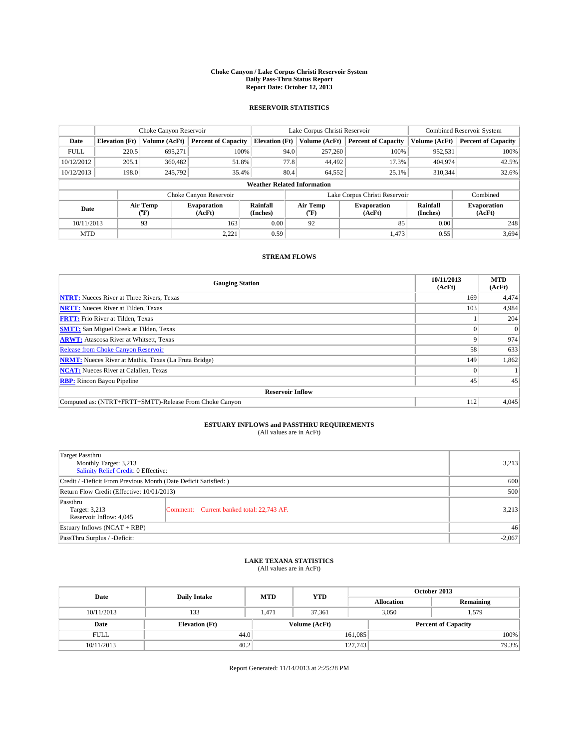### **Choke Canyon / Lake Corpus Christi Reservoir System Daily Pass-Thru Status Report Report Date: October 12, 2013**

### **RESERVOIR STATISTICS**

|             |                          | Choke Canyon Reservoir |                              |                                    | Lake Corpus Christi Reservoir | Combined Reservoir System    |                      |                              |
|-------------|--------------------------|------------------------|------------------------------|------------------------------------|-------------------------------|------------------------------|----------------------|------------------------------|
| Date        | <b>Elevation</b> (Ft)    | Volume (AcFt)          | <b>Percent of Capacity</b>   | <b>Elevation</b> (Ft)              | Volume (AcFt)                 | <b>Percent of Capacity</b>   | Volume (AcFt)        | <b>Percent of Capacity</b>   |
| <b>FULL</b> | 220.5                    | 695.271                | 100%                         | 94.0                               | 257,260                       | 100%                         | 952,531              | 100%                         |
| 10/12/2012  | 205.1                    | 360,482                | 51.8%                        | 77.8                               | 44,492                        | 17.3%                        | 404,974              | 42.5%                        |
| 10/12/2013  | 198.0                    | 245,792                | 35.4%                        | 80.4                               | 64,552                        | 25.1%                        | 310.344              | 32.6%                        |
|             |                          |                        |                              | <b>Weather Related Information</b> |                               |                              |                      |                              |
|             |                          |                        | Choke Canyon Reservoir       |                                    | Lake Corpus Christi Reservoir | Combined                     |                      |                              |
|             | Air Temp<br>Date<br>(°F) |                        | <b>Evaporation</b><br>(AcFt) | Rainfall<br>(Inches)               | Air Temp<br>$(^{o}F)$         | <b>Evaporation</b><br>(AcFt) | Rainfall<br>(Inches) | <b>Evaporation</b><br>(AcFt) |
| 10/11/2013  |                          | 93                     | 163                          | 0.00                               | 92                            | 85                           | 0.00                 | 248                          |
| <b>MTD</b>  |                          |                        | 2,221                        | 0.59                               |                               | 1,473                        | 0.55                 | 3,694                        |

## **STREAM FLOWS**

| <b>Gauging Station</b>                                       | 10/11/2013<br>(AcFt) | <b>MTD</b><br>(AcFt) |
|--------------------------------------------------------------|----------------------|----------------------|
| <b>NTRT:</b> Nueces River at Three Rivers, Texas             | 169                  | 4,474                |
| <b>NRTT:</b> Nueces River at Tilden, Texas                   | 103                  | 4,984                |
| <b>FRTT:</b> Frio River at Tilden, Texas                     |                      | 204                  |
| <b>SMTT:</b> San Miguel Creek at Tilden, Texas               |                      | $\Omega$             |
| <b>ARWT:</b> Atascosa River at Whitsett, Texas               | Q                    | 974                  |
| <b>Release from Choke Canyon Reservoir</b>                   | 58                   | 633                  |
| <b>NRMT:</b> Nueces River at Mathis, Texas (La Fruta Bridge) | 149                  | 1,862                |
| <b>NCAT:</b> Nueces River at Calallen, Texas                 |                      |                      |
| <b>RBP:</b> Rincon Bayou Pipeline                            | 45                   | 45                   |
| <b>Reservoir Inflow</b>                                      |                      |                      |
| Computed as: (NTRT+FRTT+SMTT)-Release From Choke Canyon      | 112                  | 4,045                |

# **ESTUARY INFLOWS and PASSTHRU REQUIREMENTS**<br>(All values are in AcFt)

| <b>Target Passthru</b><br>Monthly Target: 3,213<br>Salinity Relief Credit: 0 Effective: |                                           |       |  |  |
|-----------------------------------------------------------------------------------------|-------------------------------------------|-------|--|--|
| Credit / -Deficit From Previous Month (Date Deficit Satisfied: )                        |                                           |       |  |  |
| Return Flow Credit (Effective: 10/01/2013)                                              |                                           |       |  |  |
| Passthru<br>Target: 3,213<br>Reservoir Inflow: 4,045                                    | Comment: Current banked total: 22,743 AF. | 3,213 |  |  |
| Estuary Inflows $(NCAT + RBP)$                                                          |                                           |       |  |  |
| PassThru Surplus / -Deficit:                                                            |                                           |       |  |  |

## **LAKE TEXANA STATISTICS** (All values are in AcFt)

| Date        | <b>Daily Intake</b>   | <b>MTD</b> | <b>YTD</b>    | October 2013      |                            |           |       |
|-------------|-----------------------|------------|---------------|-------------------|----------------------------|-----------|-------|
|             |                       |            |               | <b>Allocation</b> |                            | Remaining |       |
| 10/11/2013  | 133                   | 1,471      | 37,361        |                   | 3,050<br>1,579             |           |       |
| Date        | <b>Elevation</b> (Ft) |            | Volume (AcFt) |                   | <b>Percent of Capacity</b> |           |       |
| <b>FULL</b> | 44.0                  |            |               | 161,085           |                            |           | 100%  |
| 10/11/2013  | 40.2                  |            |               | 127,743           |                            |           | 79.3% |

Report Generated: 11/14/2013 at 2:25:28 PM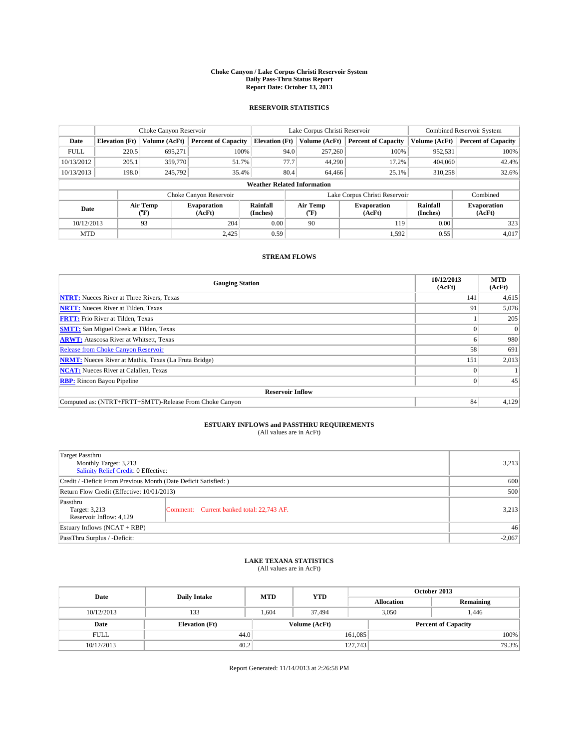### **Choke Canyon / Lake Corpus Christi Reservoir System Daily Pass-Thru Status Report Report Date: October 13, 2013**

### **RESERVOIR STATISTICS**

|             | Choke Canyon Reservoir |                  |                              |                                                                          | Lake Corpus Christi Reservoir | Combined Reservoir System     |                      |                              |
|-------------|------------------------|------------------|------------------------------|--------------------------------------------------------------------------|-------------------------------|-------------------------------|----------------------|------------------------------|
| Date        | <b>Elevation</b> (Ft)  | Volume (AcFt)    | <b>Percent of Capacity</b>   | <b>Elevation</b> (Ft)                                                    | Volume (AcFt)                 | <b>Percent of Capacity</b>    | Volume (AcFt)        | <b>Percent of Capacity</b>   |
| <b>FULL</b> | 220.5                  | 695.271          | 100%                         | 94.0                                                                     | 257,260                       | 100%                          | 952,531              | 100%                         |
| 10/13/2012  | 205.1                  | 359,770          | 51.7%                        | 77.7                                                                     | 44,290                        | 17.2%                         | 404,060              | 42.4%                        |
| 10/13/2013  | 198.0                  | 245.792          | 35.4%                        | 80.4                                                                     | 64,466                        | 25.1%                         | 310,258              | 32.6%                        |
|             |                        |                  |                              | <b>Weather Related Information</b>                                       |                               |                               |                      |                              |
|             |                        |                  | Choke Canyon Reservoir       |                                                                          |                               | Lake Corpus Christi Reservoir |                      | Combined                     |
| Date        |                        | Air Temp<br>(°F) | <b>Evaporation</b><br>(AcFt) | Rainfall<br>Air Temp<br><b>Evaporation</b><br>(Inches)<br>(AcFt)<br>(°F) |                               |                               | Rainfall<br>(Inches) | <b>Evaporation</b><br>(AcFt) |
| 10/12/2013  |                        | 93               | 204                          | 0.00                                                                     | 90                            | 119                           | 0.00                 | 323                          |
| <b>MTD</b>  |                        |                  | 2.425                        | 0.59                                                                     |                               | 1,592                         | 0.55                 | 4,017                        |

### **STREAM FLOWS**

| <b>Gauging Station</b>                                       | 10/12/2013<br>(AcFt) | <b>MTD</b><br>(AcFt) |  |  |  |  |
|--------------------------------------------------------------|----------------------|----------------------|--|--|--|--|
| <b>NTRT:</b> Nueces River at Three Rivers, Texas             | 141                  | 4,615                |  |  |  |  |
| <b>NRTT:</b> Nueces River at Tilden, Texas                   | 91                   | 5,076                |  |  |  |  |
| <b>FRTT:</b> Frio River at Tilden, Texas                     |                      | 205                  |  |  |  |  |
| <b>SMTT:</b> San Miguel Creek at Tilden, Texas               |                      | $\Omega$             |  |  |  |  |
| <b>ARWT:</b> Atascosa River at Whitsett, Texas               | o                    | 980                  |  |  |  |  |
| <b>Release from Choke Canyon Reservoir</b>                   | 58                   | 691                  |  |  |  |  |
| <b>NRMT:</b> Nueces River at Mathis, Texas (La Fruta Bridge) | 151                  | 2,013                |  |  |  |  |
| <b>NCAT:</b> Nueces River at Calallen, Texas                 |                      |                      |  |  |  |  |
| <b>RBP:</b> Rincon Bayou Pipeline                            | $\Omega$             | 45                   |  |  |  |  |
| <b>Reservoir Inflow</b>                                      |                      |                      |  |  |  |  |
| Computed as: (NTRT+FRTT+SMTT)-Release From Choke Canyon      | 84                   | 4,129                |  |  |  |  |

# **ESTUARY INFLOWS and PASSTHRU REQUIREMENTS**<br>(All values are in AcFt)

| Target Passthru<br>Monthly Target: 3,213<br>Salinity Relief Credit: 0 Effective: |                                           |       |  |  |
|----------------------------------------------------------------------------------|-------------------------------------------|-------|--|--|
| Credit / -Deficit From Previous Month (Date Deficit Satisfied: )                 |                                           |       |  |  |
| Return Flow Credit (Effective: 10/01/2013)                                       |                                           |       |  |  |
| Passthru<br>Target: 3,213<br>Reservoir Inflow: 4,129                             | Comment: Current banked total: 22,743 AF. | 3,213 |  |  |
| Estuary Inflows $(NCAT + RBP)$                                                   | 46                                        |       |  |  |
| PassThru Surplus / -Deficit:                                                     | $-2,067$                                  |       |  |  |

# **LAKE TEXANA STATISTICS** (All values are in AcFt)

| Date        | <b>Daily Intake</b>   | <b>MTD</b> | <b>YTD</b>    | October 2013      |                            |           |  |
|-------------|-----------------------|------------|---------------|-------------------|----------------------------|-----------|--|
|             |                       |            |               | <b>Allocation</b> |                            | Remaining |  |
| 10/12/2013  | 133                   | 1,604      | 37,494        |                   | 3,050<br>446.،             |           |  |
| Date        | <b>Elevation</b> (Ft) |            | Volume (AcFt) |                   | <b>Percent of Capacity</b> |           |  |
| <b>FULL</b> | 44.0                  |            |               | 161,085           |                            | 100%      |  |
| 10/12/2013  | 40.2                  |            |               | 127,743           |                            | 79.3%     |  |

Report Generated: 11/14/2013 at 2:26:58 PM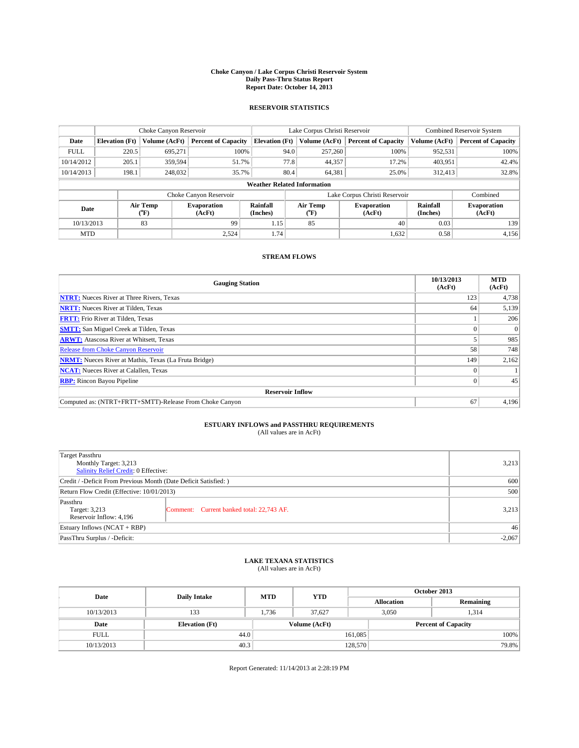### **Choke Canyon / Lake Corpus Christi Reservoir System Daily Pass-Thru Status Report Report Date: October 14, 2013**

### **RESERVOIR STATISTICS**

|                          |                       | Choke Canyon Reservoir |                              |                                    | Lake Corpus Christi Reservoir | Combined Reservoir System     |                      |                              |
|--------------------------|-----------------------|------------------------|------------------------------|------------------------------------|-------------------------------|-------------------------------|----------------------|------------------------------|
| Date                     | <b>Elevation</b> (Ft) | Volume (AcFt)          | <b>Percent of Capacity</b>   | <b>Elevation</b> (Ft)              | Volume (AcFt)                 | <b>Percent of Capacity</b>    | Volume (AcFt)        | <b>Percent of Capacity</b>   |
| <b>FULL</b>              | 220.5                 | 695.271                | 100%                         | 94.0                               | 257,260                       | 100%                          | 952,531              | 100%                         |
| 10/14/2012               | 205.1                 | 359,594                | 51.7%                        | 77.8                               | 44,357                        | 17.2%                         | 403,951              | 42.4%                        |
| 10/14/2013               | 198.1                 | 248,032                | 35.7%                        | 80.4                               | 64,381                        | 25.0%                         | 312.413              | 32.8%                        |
|                          |                       |                        |                              | <b>Weather Related Information</b> |                               |                               |                      |                              |
|                          |                       |                        | Choke Canyon Reservoir       |                                    |                               | Lake Corpus Christi Reservoir |                      | Combined                     |
| Air Temp<br>Date<br>(°F) |                       |                        | <b>Evaporation</b><br>(AcFt) | Rainfall<br>(Inches)               | Air Temp<br>$(^{o}F)$         | <b>Evaporation</b><br>(AcFt)  | Rainfall<br>(Inches) | <b>Evaporation</b><br>(AcFt) |
| 10/13/2013               |                       | 83                     | 99                           | 1.15                               | 85                            | 40                            | 0.03                 | 139                          |
| <b>MTD</b>               |                       |                        | 2.524                        | 1.74                               |                               | 1,632                         | 0.58                 | 4,156                        |

### **STREAM FLOWS**

| <b>Gauging Station</b>                                       | 10/13/2013<br>(AcFt) | <b>MTD</b><br>(AcFt) |  |  |  |  |
|--------------------------------------------------------------|----------------------|----------------------|--|--|--|--|
| <b>NTRT:</b> Nueces River at Three Rivers, Texas             | 123                  | 4,738                |  |  |  |  |
| <b>NRTT:</b> Nueces River at Tilden, Texas                   | 64                   | 5,139                |  |  |  |  |
| <b>FRTT:</b> Frio River at Tilden, Texas                     |                      | 206                  |  |  |  |  |
| <b>SMTT:</b> San Miguel Creek at Tilden, Texas               |                      | $\Omega$             |  |  |  |  |
| <b>ARWT:</b> Atascosa River at Whitsett, Texas               |                      | 985                  |  |  |  |  |
| Release from Choke Canyon Reservoir                          | 58                   | 748                  |  |  |  |  |
| <b>NRMT:</b> Nueces River at Mathis, Texas (La Fruta Bridge) | 149                  | 2,162                |  |  |  |  |
| <b>NCAT:</b> Nueces River at Calallen, Texas                 |                      |                      |  |  |  |  |
| <b>RBP:</b> Rincon Bayou Pipeline                            | 0                    | 45                   |  |  |  |  |
| <b>Reservoir Inflow</b>                                      |                      |                      |  |  |  |  |
| Computed as: (NTRT+FRTT+SMTT)-Release From Choke Canyon      | 67                   | 4,196                |  |  |  |  |

# **ESTUARY INFLOWS and PASSTHRU REQUIREMENTS**<br>(All values are in AcFt)

| Target Passthru                                                  |          |  |  |  |  |
|------------------------------------------------------------------|----------|--|--|--|--|
| Monthly Target: 3,213                                            | 3,213    |  |  |  |  |
| Salinity Relief Credit: 0 Effective:                             |          |  |  |  |  |
| Credit / -Deficit From Previous Month (Date Deficit Satisfied: ) | 600      |  |  |  |  |
| Return Flow Credit (Effective: 10/01/2013)                       | 500      |  |  |  |  |
| Passthru                                                         |          |  |  |  |  |
| Target: 3,213<br>Comment: Current banked total: 22,743 AF.       | 3,213    |  |  |  |  |
| Reservoir Inflow: 4,196                                          |          |  |  |  |  |
| Estuary Inflows (NCAT + RBP)                                     | 46       |  |  |  |  |
| PassThru Surplus / -Deficit:                                     | $-2,067$ |  |  |  |  |

# **LAKE TEXANA STATISTICS** (All values are in AcFt)

| Date        | <b>Daily Intake</b>   | <b>MTD</b> | <b>YTD</b>    | October 2013      |                            |           |       |
|-------------|-----------------------|------------|---------------|-------------------|----------------------------|-----------|-------|
|             |                       |            |               | <b>Allocation</b> |                            | Remaining |       |
| 10/13/2013  | 133                   | 1.736      | 37,627        |                   | 3,050<br>1.314             |           |       |
| Date        | <b>Elevation</b> (Ft) |            | Volume (AcFt) |                   | <b>Percent of Capacity</b> |           |       |
| <b>FULL</b> | 44.0                  |            |               | 161,085           |                            |           | 100%  |
| 10/13/2013  | 40.3                  |            |               | 128,570           |                            |           | 79.8% |

Report Generated: 11/14/2013 at 2:28:19 PM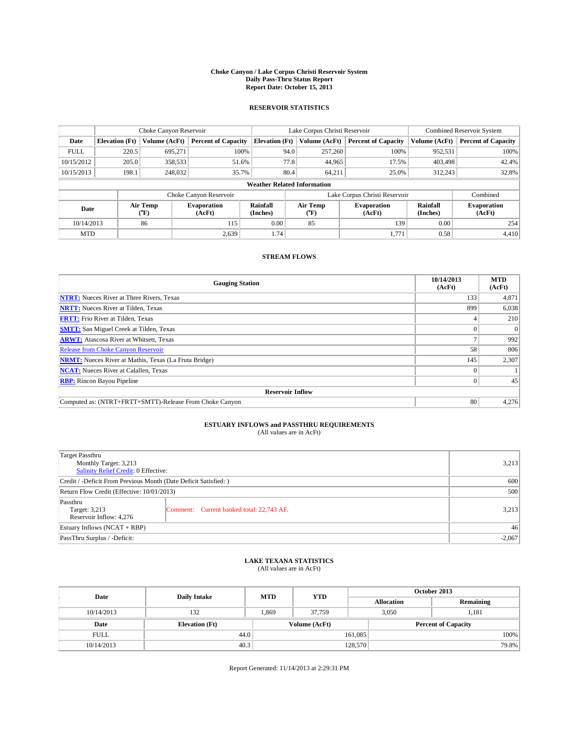### **Choke Canyon / Lake Corpus Christi Reservoir System Daily Pass-Thru Status Report Report Date: October 15, 2013**

### **RESERVOIR STATISTICS**

|                          |                       | Choke Canyon Reservoir |                              |                                    | Lake Corpus Christi Reservoir | Combined Reservoir System    |                      |                              |
|--------------------------|-----------------------|------------------------|------------------------------|------------------------------------|-------------------------------|------------------------------|----------------------|------------------------------|
| Date                     | <b>Elevation</b> (Ft) | Volume (AcFt)          | <b>Percent of Capacity</b>   | <b>Elevation</b> (Ft)              | Volume (AcFt)                 | <b>Percent of Capacity</b>   | Volume (AcFt)        | <b>Percent of Capacity</b>   |
| <b>FULL</b>              | 220.5                 | 695.271                | 100%                         | 94.0                               | 257,260                       | 100%                         | 952,531              | 100%                         |
| 10/15/2012               | 205.0                 | 358,533                | 51.6%                        | 77.8                               | 44,965                        | 17.5%                        | 403,498              | 42.4%                        |
| 10/15/2013               | 198.1                 | 248,032                | 35.7%                        | 80.4                               | 64.211                        | 25.0%                        | 312,243              | 32.8%                        |
|                          |                       |                        |                              | <b>Weather Related Information</b> |                               |                              |                      |                              |
|                          |                       |                        | Choke Canyon Reservoir       |                                    | Lake Corpus Christi Reservoir | Combined                     |                      |                              |
| Air Temp<br>Date<br>(°F) |                       |                        | <b>Evaporation</b><br>(AcFt) | Rainfall<br>(Inches)               | Air Temp<br>(°F)              | <b>Evaporation</b><br>(AcFt) | Rainfall<br>(Inches) | <b>Evaporation</b><br>(AcFt) |
| 10/14/2013               |                       | 86                     | 115                          | 0.00                               | 85                            | 139                          | 0.00                 | 254                          |
| <b>MTD</b>               |                       |                        | 2.639                        | 1.74                               |                               | 1,771                        | 0.58                 | 4,410                        |

### **STREAM FLOWS**

| <b>Gauging Station</b>                                       | 10/14/2013<br>(AcFt) | <b>MTD</b><br>(AcFt) |  |  |  |  |
|--------------------------------------------------------------|----------------------|----------------------|--|--|--|--|
| <b>NTRT:</b> Nueces River at Three Rivers, Texas             | 133                  | 4,871                |  |  |  |  |
| <b>NRTT:</b> Nueces River at Tilden, Texas                   | 899                  | 6,038                |  |  |  |  |
| <b>FRTT:</b> Frio River at Tilden, Texas                     |                      | 210                  |  |  |  |  |
| <b>SMTT:</b> San Miguel Creek at Tilden, Texas               |                      | $\Omega$             |  |  |  |  |
| <b>ARWT:</b> Atascosa River at Whitsett, Texas               |                      | 992                  |  |  |  |  |
| <b>Release from Choke Canyon Reservoir</b>                   | 58                   | 806                  |  |  |  |  |
| <b>NRMT:</b> Nueces River at Mathis, Texas (La Fruta Bridge) | 145                  | 2,307                |  |  |  |  |
| <b>NCAT:</b> Nueces River at Calallen, Texas                 |                      |                      |  |  |  |  |
| <b>RBP:</b> Rincon Bayou Pipeline                            | $\Omega$             | 45                   |  |  |  |  |
| <b>Reservoir Inflow</b>                                      |                      |                      |  |  |  |  |
| Computed as: (NTRT+FRTT+SMTT)-Release From Choke Canyon      | 80                   | 4,276                |  |  |  |  |

# **ESTUARY INFLOWS and PASSTHRU REQUIREMENTS**<br>(All values are in AcFt)

| Target Passthru                                                  |          |       |  |  |
|------------------------------------------------------------------|----------|-------|--|--|
| Monthly Target: 3,213                                            |          | 3,213 |  |  |
| Salinity Relief Credit: 0 Effective:                             |          |       |  |  |
| Credit / -Deficit From Previous Month (Date Deficit Satisfied: ) | 600      |       |  |  |
| Return Flow Credit (Effective: 10/01/2013)                       | 500      |       |  |  |
| Passthru                                                         |          |       |  |  |
| Target: 3,213<br>Comment: Current banked total: 22,743 AF.       |          | 3,213 |  |  |
| Reservoir Inflow: 4,276                                          |          |       |  |  |
| Estuary Inflows (NCAT + RBP)                                     | 46       |       |  |  |
| PassThru Surplus / -Deficit:                                     | $-2,067$ |       |  |  |

# **LAKE TEXANA STATISTICS** (All values are in AcFt)

| Date        | <b>Daily Intake</b>   | <b>MTD</b> | <b>YTD</b>    | October 2013      |                            |           |  |
|-------------|-----------------------|------------|---------------|-------------------|----------------------------|-----------|--|
|             |                       |            |               | <b>Allocation</b> |                            | Remaining |  |
| 10/14/2013  | 132                   | 1.869      | 37.759        |                   | 3,050<br>1,181             |           |  |
| Date        | <b>Elevation</b> (Ft) |            | Volume (AcFt) |                   | <b>Percent of Capacity</b> |           |  |
| <b>FULL</b> | 44.0                  |            |               | 161,085           |                            | 100%      |  |
| 10/14/2013  | 40.3                  |            |               | 128,570           |                            | 79.8%     |  |

Report Generated: 11/14/2013 at 2:29:31 PM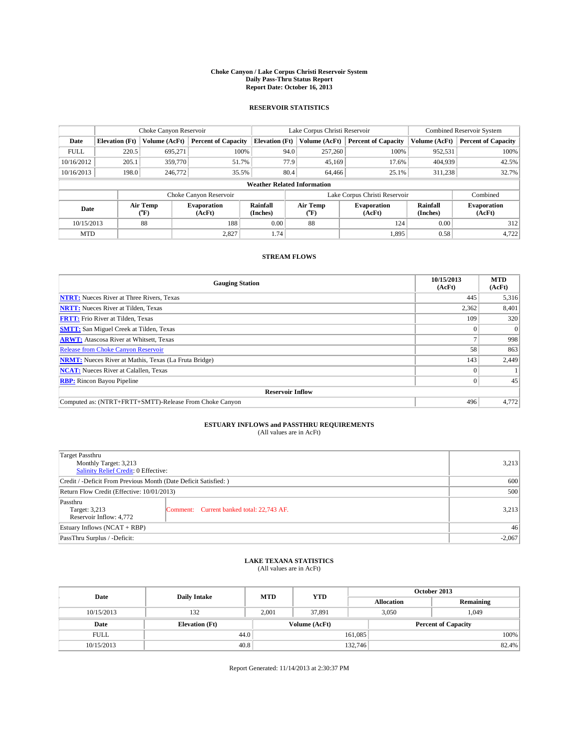### **Choke Canyon / Lake Corpus Christi Reservoir System Daily Pass-Thru Status Report Report Date: October 16, 2013**

### **RESERVOIR STATISTICS**

|             |                                    | Choke Canyon Reservoir |                              |                       | Lake Corpus Christi Reservoir | Combined Reservoir System    |                      |                              |  |
|-------------|------------------------------------|------------------------|------------------------------|-----------------------|-------------------------------|------------------------------|----------------------|------------------------------|--|
| Date        | <b>Elevation</b> (Ft)              | Volume (AcFt)          | <b>Percent of Capacity</b>   | <b>Elevation</b> (Ft) | Volume (AcFt)                 | <b>Percent of Capacity</b>   | Volume (AcFt)        | <b>Percent of Capacity</b>   |  |
| <b>FULL</b> | 220.5                              | 695.271                | 100%                         | 94.0                  | 257,260                       | 100%                         | 952,531              | 100%                         |  |
| 10/16/2012  | 205.1                              | 359,770                | 51.7%                        | 77.9                  | 45,169                        | 17.6%                        | 404,939              | 42.5%                        |  |
| 10/16/2013  | 198.0                              | 246,772                | 35.5%                        | 80.4                  | 64,466                        | 25.1%                        | 311,238              | 32.7%                        |  |
|             | <b>Weather Related Information</b> |                        |                              |                       |                               |                              |                      |                              |  |
|             |                                    |                        | Choke Canyon Reservoir       |                       | Lake Corpus Christi Reservoir |                              | Combined             |                              |  |
|             | Air Temp<br>Date<br>(°F)           |                        | <b>Evaporation</b><br>(AcFt) | Rainfall<br>(Inches)  | Air Temp<br>$(^{o}F)$         | <b>Evaporation</b><br>(AcFt) | Rainfall<br>(Inches) | <b>Evaporation</b><br>(AcFt) |  |
| 10/15/2013  |                                    | 88                     | 188                          | 0.00                  | 88                            | 124                          | 0.00                 | 312                          |  |
| <b>MTD</b>  |                                    |                        | 2,827                        | 1.74                  |                               | 1,895                        | 0.58                 | 4,722                        |  |

### **STREAM FLOWS**

| <b>Gauging Station</b>                                       | 10/15/2013<br>(AcFt) | <b>MTD</b><br>(AcFt) |
|--------------------------------------------------------------|----------------------|----------------------|
| <b>NTRT:</b> Nueces River at Three Rivers, Texas             | 445                  | 5,316                |
| <b>NRTT:</b> Nueces River at Tilden, Texas                   | 2,362                | 8,401                |
| <b>FRTT:</b> Frio River at Tilden, Texas                     | 109                  | 320                  |
| <b>SMTT:</b> San Miguel Creek at Tilden, Texas               |                      | $\Omega$             |
| <b>ARWT:</b> Atascosa River at Whitsett, Texas               |                      | 998                  |
| <b>Release from Choke Canyon Reservoir</b>                   | 58                   | 863                  |
| <b>NRMT:</b> Nueces River at Mathis, Texas (La Fruta Bridge) | 143                  | 2,449                |
| <b>NCAT:</b> Nueces River at Calallen, Texas                 |                      |                      |
| <b>RBP:</b> Rincon Bayou Pipeline                            | $\Omega$             | 45                   |
| <b>Reservoir Inflow</b>                                      |                      |                      |
| Computed as: (NTRT+FRTT+SMTT)-Release From Choke Canyon      | 496                  | 4,772                |

# **ESTUARY INFLOWS and PASSTHRU REQUIREMENTS**<br>(All values are in AcFt)

| Target Passthru                                                  |  |          |  |  |
|------------------------------------------------------------------|--|----------|--|--|
| Monthly Target: 3,213                                            |  | 3,213    |  |  |
| Salinity Relief Credit: 0 Effective:                             |  |          |  |  |
| Credit / -Deficit From Previous Month (Date Deficit Satisfied: ) |  |          |  |  |
| Return Flow Credit (Effective: 10/01/2013)                       |  | 500      |  |  |
| Passthru                                                         |  |          |  |  |
| Target: 3,213<br>Comment: Current banked total: 22,743 AF.       |  | 3,213    |  |  |
| Reservoir Inflow: 4,772                                          |  |          |  |  |
| Estuary Inflows (NCAT + RBP)                                     |  | 46       |  |  |
| PassThru Surplus / -Deficit:                                     |  | $-2,067$ |  |  |

# **LAKE TEXANA STATISTICS** (All values are in AcFt)

| Date        | <b>Daily Intake</b>   | <b>MTD</b> | <b>YTD</b>    | October 2013      |                            |           |       |
|-------------|-----------------------|------------|---------------|-------------------|----------------------------|-----------|-------|
|             |                       |            |               | <b>Allocation</b> |                            | Remaining |       |
| 10/15/2013  | 132                   | 2.001      | 37.891        |                   | 3,050<br>1,049             |           |       |
| Date        | <b>Elevation</b> (Ft) |            | Volume (AcFt) |                   | <b>Percent of Capacity</b> |           |       |
| <b>FULL</b> | 44.0                  |            |               | 161,085           |                            |           | 100%  |
| 10/15/2013  | 40.8                  |            |               | 132,746           |                            |           | 82.4% |

Report Generated: 11/14/2013 at 2:30:37 PM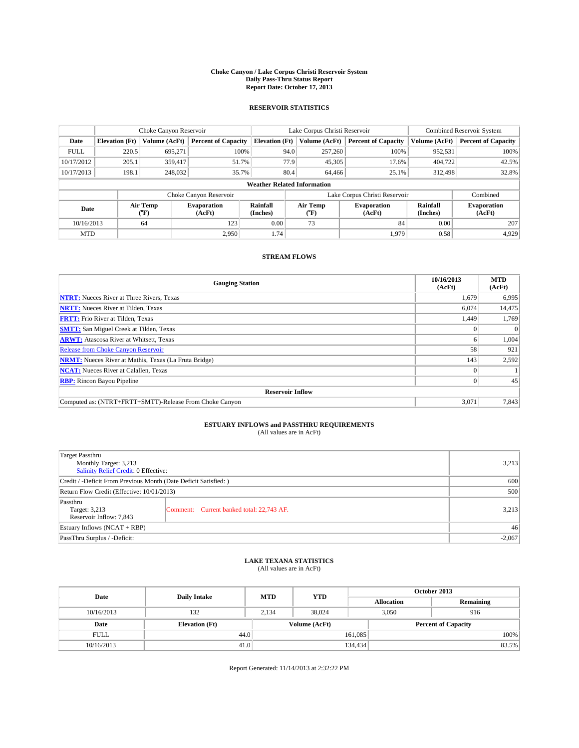### **Choke Canyon / Lake Corpus Christi Reservoir System Daily Pass-Thru Status Report Report Date: October 17, 2013**

### **RESERVOIR STATISTICS**

|             |                       | Choke Canyon Reservoir |                              |                                    | Lake Corpus Christi Reservoir             | <b>Combined Reservoir System</b> |                      |                              |  |
|-------------|-----------------------|------------------------|------------------------------|------------------------------------|-------------------------------------------|----------------------------------|----------------------|------------------------------|--|
| Date        | <b>Elevation</b> (Ft) | Volume (AcFt)          | <b>Percent of Capacity</b>   | <b>Elevation (Ft)</b>              | Volume (AcFt)                             | <b>Percent of Capacity</b>       | Volume (AcFt)        | <b>Percent of Capacity</b>   |  |
| <b>FULL</b> | 220.5                 | 695.271                | 100%                         | 94.0                               | 257,260                                   | 100%                             | 952,531              | 100%                         |  |
| 10/17/2012  | 205.1                 | 359,417                | 51.7%                        | 77.9                               | 45,305                                    | 17.6%                            | 404,722              | 42.5%                        |  |
| 10/17/2013  | 198.1                 | 248,032                | 35.7%                        | 80.4                               | 64,466                                    | 25.1%                            | 312,498              | 32.8%                        |  |
|             |                       |                        |                              | <b>Weather Related Information</b> |                                           |                                  |                      |                              |  |
|             |                       |                        | Choke Canyon Reservoir       |                                    | Lake Corpus Christi Reservoir<br>Combined |                                  |                      |                              |  |
| Date        |                       | Air Temp<br>(°F)       | <b>Evaporation</b><br>(AcFt) | Rainfall<br>(Inches)               | Air Temp<br>(°F)                          | <b>Evaporation</b><br>(AcFt)     | Rainfall<br>(Inches) | <b>Evaporation</b><br>(AcFt) |  |
| 10/16/2013  |                       | 64                     | 123                          | 0.00                               | 73                                        | 84                               | 0.00                 | 207                          |  |
| <b>MTD</b>  | 2.950                 |                        | 1.74                         |                                    | 1.979                                     | 0.58                             | 4,929                |                              |  |

### **STREAM FLOWS**

| <b>Gauging Station</b>                                       | 10/16/2013<br>(AcFt) | <b>MTD</b><br>(AcFt) |
|--------------------------------------------------------------|----------------------|----------------------|
| <b>NTRT:</b> Nueces River at Three Rivers, Texas             | 1,679                | 6,995                |
| <b>NRTT:</b> Nueces River at Tilden, Texas                   | 6,074                | 14,475               |
| <b>FRTT:</b> Frio River at Tilden, Texas                     | 1,449                | 1,769                |
| <b>SMTT:</b> San Miguel Creek at Tilden, Texas               |                      | $\Omega$             |
| <b>ARWT:</b> Atascosa River at Whitsett, Texas               | o                    | 1,004                |
| <b>Release from Choke Canyon Reservoir</b>                   | 58                   | 921                  |
| <b>NRMT:</b> Nueces River at Mathis, Texas (La Fruta Bridge) | 143                  | 2,592                |
| <b>NCAT:</b> Nueces River at Calallen, Texas                 |                      |                      |
| <b>RBP:</b> Rincon Bayou Pipeline                            |                      | 45                   |
| <b>Reservoir Inflow</b>                                      |                      |                      |
| Computed as: (NTRT+FRTT+SMTT)-Release From Choke Canyon      | 3,071                | 7,843                |

# **ESTUARY INFLOWS and PASSTHRU REQUIREMENTS**<br>(All values are in AcFt)

| Target Passthru<br>Monthly Target: 3,213<br>Salinity Relief Credit: 0 Effective: |                                           |       |  |  |
|----------------------------------------------------------------------------------|-------------------------------------------|-------|--|--|
| Credit / -Deficit From Previous Month (Date Deficit Satisfied: )                 |                                           |       |  |  |
| Return Flow Credit (Effective: 10/01/2013)                                       |                                           |       |  |  |
| Passthru<br>Target: 3,213<br>Reservoir Inflow: 7,843                             | Comment: Current banked total: 22,743 AF. | 3,213 |  |  |
| Estuary Inflows $(NCAT + RBP)$                                                   |                                           |       |  |  |
| PassThru Surplus / -Deficit:                                                     |                                           |       |  |  |

# **LAKE TEXANA STATISTICS** (All values are in AcFt)

| Date        | <b>Daily Intake</b>   | <b>MTD</b> | <b>YTD</b>    | October 2013      |                            |           |  |
|-------------|-----------------------|------------|---------------|-------------------|----------------------------|-----------|--|
|             |                       |            |               | <b>Allocation</b> |                            | Remaining |  |
| 10/16/2013  | 132                   | 2.134      | 38.024        |                   | 3,050<br>916               |           |  |
| Date        | <b>Elevation</b> (Ft) |            | Volume (AcFt) |                   | <b>Percent of Capacity</b> |           |  |
| <b>FULL</b> | 44.0                  |            |               | 161,085           |                            | 100%      |  |
| 10/16/2013  | 41.0                  |            |               | 134,434           |                            | 83.5%     |  |

Report Generated: 11/14/2013 at 2:32:22 PM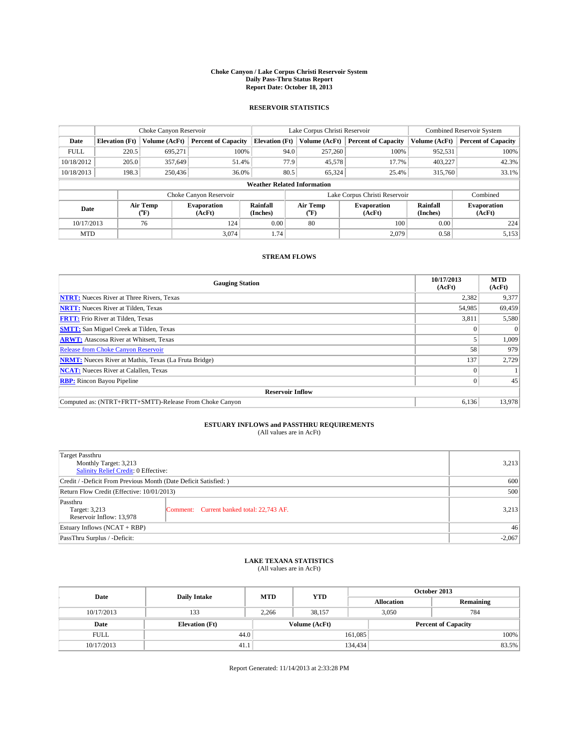### **Choke Canyon / Lake Corpus Christi Reservoir System Daily Pass-Thru Status Report Report Date: October 18, 2013**

### **RESERVOIR STATISTICS**

|             |                       | Choke Canyon Reservoir |                              |                                    | Lake Corpus Christi Reservoir | Combined Reservoir System    |                      |                              |
|-------------|-----------------------|------------------------|------------------------------|------------------------------------|-------------------------------|------------------------------|----------------------|------------------------------|
| Date        | <b>Elevation</b> (Ft) | Volume (AcFt)          | <b>Percent of Capacity</b>   | <b>Elevation</b> (Ft)              | Volume (AcFt)                 | <b>Percent of Capacity</b>   | Volume (AcFt)        | <b>Percent of Capacity</b>   |
| <b>FULL</b> | 220.5                 | 695.271                | 100%                         | 94.0                               | 257,260                       | 100%                         | 952,531              | 100%                         |
| 10/18/2012  | 205.0                 | 357,649                | 51.4%                        | 77.9                               | 45,578                        | 17.7%                        | 403,227              | 42.3%                        |
| 10/18/2013  | 198.3                 | 250,436                | 36.0%                        | 80.5                               | 65.324                        | 25.4%                        | 315,760              | 33.1%                        |
|             |                       |                        |                              | <b>Weather Related Information</b> |                               |                              |                      |                              |
|             |                       |                        | Choke Canyon Reservoir       |                                    | Lake Corpus Christi Reservoir |                              | Combined             |                              |
| Date        |                       | Air Temp<br>(°F)       | <b>Evaporation</b><br>(AcFt) | Rainfall<br>(Inches)               | Air Temp<br>$(^{o}F)$         | <b>Evaporation</b><br>(AcFt) | Rainfall<br>(Inches) | <b>Evaporation</b><br>(AcFt) |
| 10/17/2013  |                       | 76                     | 124                          | 0.00                               | 80                            | 100                          | 0.00                 | 224                          |
| <b>MTD</b>  |                       |                        | 3.074                        | 1.74                               |                               | 2,079                        | 0.58                 | 5,153                        |

### **STREAM FLOWS**

| <b>Gauging Station</b>                                       | 10/17/2013<br>(AcFt) | <b>MTD</b><br>(AcFt) |
|--------------------------------------------------------------|----------------------|----------------------|
| <b>NTRT:</b> Nueces River at Three Rivers, Texas             | 2,382                | 9,377                |
| <b>NRTT:</b> Nueces River at Tilden, Texas                   | 54,985               | 69,459               |
| <b>FRTT:</b> Frio River at Tilden, Texas                     | 3,811                | 5,580                |
| <b>SMTT:</b> San Miguel Creek at Tilden, Texas               | 0                    | $\Omega$             |
| <b>ARWT:</b> Atascosa River at Whitsett, Texas               |                      | 1,009                |
| <b>Release from Choke Canyon Reservoir</b>                   | 58                   | 979                  |
| <b>NRMT:</b> Nueces River at Mathis, Texas (La Fruta Bridge) | 137                  | 2,729                |
| <b>NCAT:</b> Nueces River at Calallen, Texas                 | $\Omega$             |                      |
| <b>RBP:</b> Rincon Bayou Pipeline                            | $\Omega$             | 45                   |
| <b>Reservoir Inflow</b>                                      |                      |                      |
| Computed as: (NTRT+FRTT+SMTT)-Release From Choke Canyon      | 6,136                | 13,978               |

# **ESTUARY INFLOWS and PASSTHRU REQUIREMENTS**<br>(All values are in AcFt)

| Target Passthru<br>Monthly Target: 3,213<br>Salinity Relief Credit: 0 Effective: | 3,213                                     |       |  |  |
|----------------------------------------------------------------------------------|-------------------------------------------|-------|--|--|
| Credit / -Deficit From Previous Month (Date Deficit Satisfied: )                 |                                           |       |  |  |
| Return Flow Credit (Effective: 10/01/2013)                                       | 500                                       |       |  |  |
| Passthru<br>Target: 3,213<br>Reservoir Inflow: 13,978                            | Comment: Current banked total: 22,743 AF. | 3,213 |  |  |
| Estuary Inflows (NCAT + RBP)                                                     | 46                                        |       |  |  |
| PassThru Surplus / -Deficit:                                                     | $-2,067$                                  |       |  |  |

# **LAKE TEXANA STATISTICS** (All values are in AcFt)

| Date        | <b>Daily Intake</b>   | <b>MTD</b> | <b>YTD</b>    | October 2013      |                            |           |       |
|-------------|-----------------------|------------|---------------|-------------------|----------------------------|-----------|-------|
|             |                       |            |               | <b>Allocation</b> |                            | Remaining |       |
| 10/17/2013  | 133                   | 2,266      | 38,157        |                   | 3,050<br>784               |           |       |
| Date        | <b>Elevation</b> (Ft) |            | Volume (AcFt) |                   | <b>Percent of Capacity</b> |           |       |
| <b>FULL</b> | 44.0                  |            |               | 161,085           |                            |           | 100%  |
| 10/17/2013  | 41.1                  |            |               | 134,434           |                            |           | 83.5% |

Report Generated: 11/14/2013 at 2:33:28 PM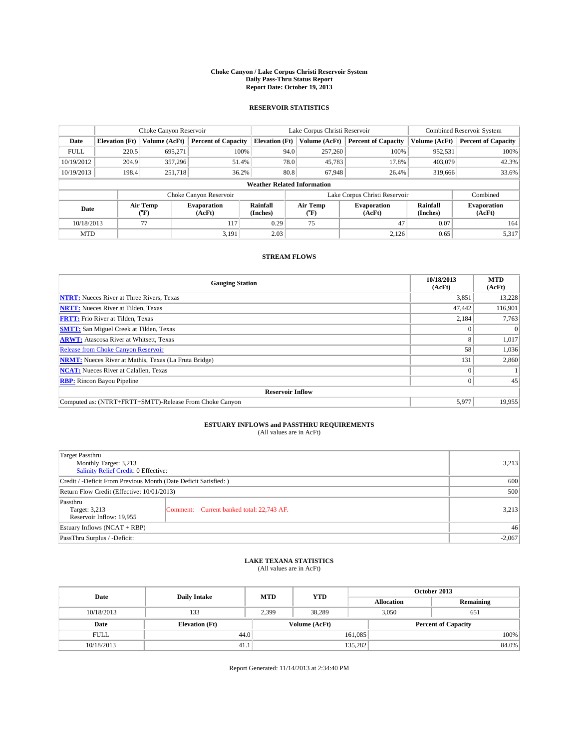### **Choke Canyon / Lake Corpus Christi Reservoir System Daily Pass-Thru Status Report Report Date: October 19, 2013**

### **RESERVOIR STATISTICS**

|             |                                    | Choke Canyon Reservoir |                              |                       | Lake Corpus Christi Reservoir | <b>Combined Reservoir System</b> |                      |                              |  |
|-------------|------------------------------------|------------------------|------------------------------|-----------------------|-------------------------------|----------------------------------|----------------------|------------------------------|--|
| Date        | <b>Elevation</b> (Ft)              | Volume (AcFt)          | <b>Percent of Capacity</b>   | <b>Elevation (Ft)</b> | Volume (AcFt)                 | <b>Percent of Capacity</b>       | Volume (AcFt)        | <b>Percent of Capacity</b>   |  |
| <b>FULL</b> | 220.5                              | 695.271                | 100%                         | 94.0                  | 257,260                       | 100%                             | 952,531              | 100%                         |  |
| 10/19/2012  | 204.9                              | 357,296                | 51.4%                        | 78.0                  | 45,783                        | 17.8%                            | 403,079              | 42.3%                        |  |
| 10/19/2013  | 198.4                              | 251,718                | 36.2%                        | 80.8                  | 67.948                        | 26.4%                            | 319,666              | 33.6%                        |  |
|             | <b>Weather Related Information</b> |                        |                              |                       |                               |                                  |                      |                              |  |
|             |                                    |                        | Choke Canyon Reservoir       |                       | Lake Corpus Christi Reservoir |                                  | Combined             |                              |  |
| Date        |                                    | Air Temp<br>(°F)       | <b>Evaporation</b><br>(AcFt) | Rainfall<br>(Inches)  | Air Temp<br>$(^{o}F)$         | <b>Evaporation</b><br>(AcFt)     | Rainfall<br>(Inches) | <b>Evaporation</b><br>(AcFt) |  |
| 10/18/2013  |                                    | 77                     | 0.29<br>75<br>117            |                       | 47                            | 0.07                             | 164                  |                              |  |
| <b>MTD</b>  |                                    |                        | 3,191                        | 2.03                  |                               | 2,126                            | 0.65                 | 5,317                        |  |

### **STREAM FLOWS**

| <b>Gauging Station</b>                                       | 10/18/2013<br>(AcFt) | <b>MTD</b><br>(AcFt) |  |  |  |  |
|--------------------------------------------------------------|----------------------|----------------------|--|--|--|--|
| <b>NTRT:</b> Nueces River at Three Rivers, Texas             | 3,851                | 13,228               |  |  |  |  |
| <b>NRTT:</b> Nueces River at Tilden, Texas                   | 47,442               | 116,901              |  |  |  |  |
| <b>FRTT:</b> Frio River at Tilden, Texas                     | 2,184                | 7,763                |  |  |  |  |
| <b>SMTT:</b> San Miguel Creek at Tilden, Texas               | $\Omega$             | $\Omega$             |  |  |  |  |
| <b>ARWT:</b> Atascosa River at Whitsett, Texas               | 8                    | 1,017                |  |  |  |  |
| <b>Release from Choke Canyon Reservoir</b>                   | 58                   | 1,036                |  |  |  |  |
| <b>NRMT:</b> Nueces River at Mathis, Texas (La Fruta Bridge) | 131                  | 2,860                |  |  |  |  |
| <b>NCAT:</b> Nueces River at Calallen, Texas                 | $\Omega$             |                      |  |  |  |  |
| <b>RBP:</b> Rincon Bayou Pipeline                            | $\Omega$             | 45                   |  |  |  |  |
| <b>Reservoir Inflow</b>                                      |                      |                      |  |  |  |  |
| Computed as: (NTRT+FRTT+SMTT)-Release From Choke Canyon      | 5.977                | 19,955               |  |  |  |  |

# **ESTUARY INFLOWS and PASSTHRU REQUIREMENTS**<br>(All values are in AcFt)

| Target Passthru                                                  |                                           |       |  |  |
|------------------------------------------------------------------|-------------------------------------------|-------|--|--|
| Monthly Target: 3,213                                            |                                           |       |  |  |
| Salinity Relief Credit: 0 Effective:                             |                                           |       |  |  |
| Credit / -Deficit From Previous Month (Date Deficit Satisfied: ) |                                           |       |  |  |
| Return Flow Credit (Effective: 10/01/2013)                       |                                           |       |  |  |
| Passthru                                                         |                                           |       |  |  |
| Target: 3,213                                                    | Comment: Current banked total: 22,743 AF. | 3,213 |  |  |
| Reservoir Inflow: 19,955                                         |                                           |       |  |  |
| Estuary Inflows (NCAT + RBP)                                     |                                           |       |  |  |
| PassThru Surplus / -Deficit:                                     | $-2,067$                                  |       |  |  |

# **LAKE TEXANA STATISTICS** (All values are in AcFt)

| Date        | <b>Daily Intake</b>   | <b>MTD</b> | <b>YTD</b>    | October 2013      |                            |           |  |
|-------------|-----------------------|------------|---------------|-------------------|----------------------------|-----------|--|
|             |                       |            |               | <b>Allocation</b> |                            | Remaining |  |
| 10/18/2013  | 133                   | 2,399      | 38,289        |                   | 3,050<br>651               |           |  |
| Date        | <b>Elevation</b> (Ft) |            | Volume (AcFt) |                   | <b>Percent of Capacity</b> |           |  |
| <b>FULL</b> | 44.0                  |            |               | 161,085           |                            | 100%      |  |
| 10/18/2013  | 41.1                  |            |               | 135,282           |                            | 84.0%     |  |

Report Generated: 11/14/2013 at 2:34:40 PM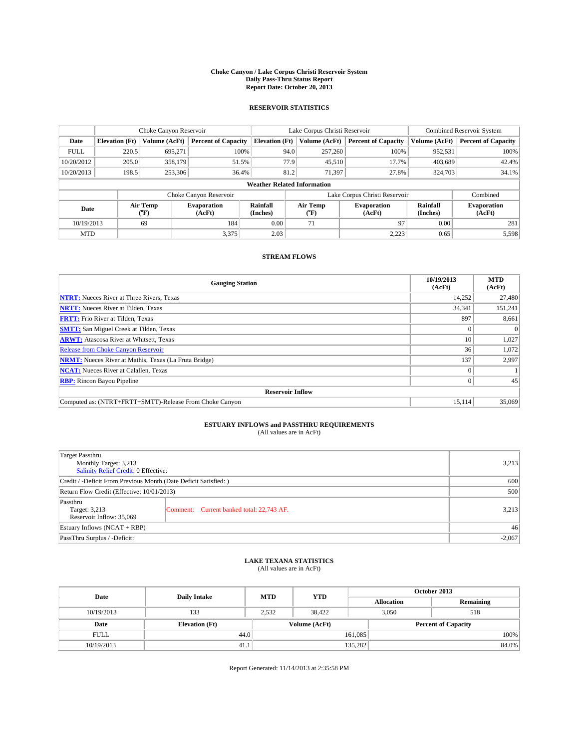### **Choke Canyon / Lake Corpus Christi Reservoir System Daily Pass-Thru Status Report Report Date: October 20, 2013**

### **RESERVOIR STATISTICS**

|             |                                    | Choke Canyon Reservoir |                              |                       | Lake Corpus Christi Reservoir | Combined Reservoir System    |               |                              |  |
|-------------|------------------------------------|------------------------|------------------------------|-----------------------|-------------------------------|------------------------------|---------------|------------------------------|--|
| Date        | <b>Elevation</b> (Ft)              | Volume (AcFt)          | <b>Percent of Capacity</b>   | <b>Elevation</b> (Ft) | Volume (AcFt)                 | <b>Percent of Capacity</b>   | Volume (AcFt) | <b>Percent of Capacity</b>   |  |
| <b>FULL</b> | 220.5                              | 695.271                | 100%                         | 94.0                  | 257,260                       | 100%                         | 952,531       | 100%                         |  |
| 10/20/2012  | 205.0                              | 358,179                | 51.5%                        | 77.9                  | 45,510                        | 17.7%                        | 403,689       | 42.4%                        |  |
| 10/20/2013  | 198.5                              | 253,306                | 36.4%                        | 81.2                  | 71,397                        | 27.8%                        | 324,703       | 34.1%                        |  |
|             | <b>Weather Related Information</b> |                        |                              |                       |                               |                              |               |                              |  |
|             |                                    |                        | Choke Canyon Reservoir       |                       | Lake Corpus Christi Reservoir |                              | Combined      |                              |  |
| Date        |                                    | Air Temp<br>(°F)       | <b>Evaporation</b><br>(AcFt) | Rainfall<br>(Inches)  | Air Temp<br>(°F)              | <b>Evaporation</b><br>(AcFt) |               | <b>Evaporation</b><br>(AcFt) |  |
| 10/19/2013  |                                    | 69                     | 184                          | 0.00                  | 71                            | 97                           | 0.00          | 281                          |  |
| <b>MTD</b>  |                                    |                        | 3,375                        | 2.03                  |                               | 2,223                        | 0.65          | 5,598                        |  |

### **STREAM FLOWS**

| <b>Gauging Station</b>                                       | 10/19/2013<br>(AcFt) | <b>MTD</b><br>(AcFt) |  |  |  |  |
|--------------------------------------------------------------|----------------------|----------------------|--|--|--|--|
| <b>NTRT:</b> Nueces River at Three Rivers, Texas             | 14,252               | 27,480               |  |  |  |  |
| <b>NRTT:</b> Nueces River at Tilden, Texas                   | 34,341               | 151,241              |  |  |  |  |
| <b>FRTT:</b> Frio River at Tilden, Texas                     | 897                  | 8,661                |  |  |  |  |
| <b>SMTT:</b> San Miguel Creek at Tilden, Texas               | $\Omega$             | $\Omega$             |  |  |  |  |
| <b>ARWT:</b> Atascosa River at Whitsett, Texas               | 10                   | 1,027                |  |  |  |  |
| <b>Release from Choke Canyon Reservoir</b>                   | 36                   | 1,072                |  |  |  |  |
| <b>NRMT:</b> Nueces River at Mathis, Texas (La Fruta Bridge) | 137                  | 2,997                |  |  |  |  |
| <b>NCAT:</b> Nueces River at Calallen, Texas                 | $\Omega$             |                      |  |  |  |  |
| <b>RBP:</b> Rincon Bayou Pipeline                            | $\Omega$             | 45                   |  |  |  |  |
| <b>Reservoir Inflow</b>                                      |                      |                      |  |  |  |  |
| Computed as: (NTRT+FRTT+SMTT)-Release From Choke Canyon      | 15.114               | 35,069               |  |  |  |  |

# **ESTUARY INFLOWS and PASSTHRU REQUIREMENTS**<br>(All values are in AcFt)

| <b>Target Passthru</b><br>Monthly Target: 3,213<br>Salinity Relief Credit: 0 Effective: |                                           |       |  |  |
|-----------------------------------------------------------------------------------------|-------------------------------------------|-------|--|--|
| Credit / -Deficit From Previous Month (Date Deficit Satisfied: )                        |                                           |       |  |  |
| Return Flow Credit (Effective: 10/01/2013)                                              |                                           |       |  |  |
| Passthru<br>Target: 3,213<br>Reservoir Inflow: 35,069                                   | Comment: Current banked total: 22,743 AF. | 3,213 |  |  |
| Estuary Inflows $(NCAT + RBP)$                                                          |                                           |       |  |  |
| PassThru Surplus / -Deficit:                                                            | $-2,067$                                  |       |  |  |

# **LAKE TEXANA STATISTICS** (All values are in AcFt)

| Date        | <b>Daily Intake</b>   | <b>MTD</b> | <b>YTD</b>    | October 2013      |                            |           |  |
|-------------|-----------------------|------------|---------------|-------------------|----------------------------|-----------|--|
|             |                       |            |               | <b>Allocation</b> |                            | Remaining |  |
| 10/19/2013  | 133                   | 2,532      | 38.422        |                   | 3,050<br>518               |           |  |
| Date        | <b>Elevation</b> (Ft) |            | Volume (AcFt) |                   | <b>Percent of Capacity</b> |           |  |
| <b>FULL</b> | 44.0                  |            |               | 161,085           |                            | 100%      |  |
| 10/19/2013  | 41.1                  |            |               | 135,282           |                            | 84.0%     |  |

Report Generated: 11/14/2013 at 2:35:58 PM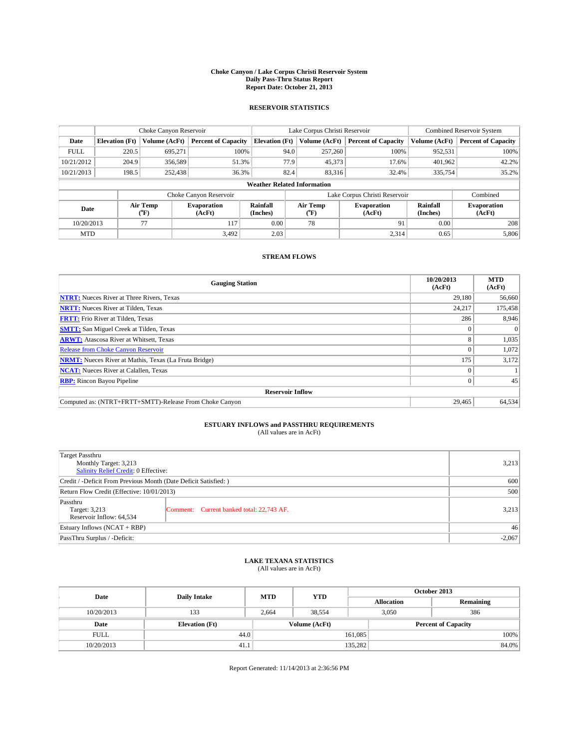### **Choke Canyon / Lake Corpus Christi Reservoir System Daily Pass-Thru Status Report Report Date: October 21, 2013**

### **RESERVOIR STATISTICS**

|             |                                    | Choke Canyon Reservoir |                              |                       | Lake Corpus Christi Reservoir | <b>Combined Reservoir System</b> |                      |                              |  |
|-------------|------------------------------------|------------------------|------------------------------|-----------------------|-------------------------------|----------------------------------|----------------------|------------------------------|--|
| Date        | <b>Elevation</b> (Ft)              | Volume (AcFt)          | <b>Percent of Capacity</b>   | <b>Elevation (Ft)</b> | Volume (AcFt)                 | <b>Percent of Capacity</b>       | Volume (AcFt)        | Percent of Capacity          |  |
| <b>FULL</b> | 220.5                              | 695,271                | 100%                         | 94.0                  | 257,260                       | 100%                             | 952,531              | 100%                         |  |
| 10/21/2012  | 204.9                              | 356,589                | 51.3%                        | 77.9                  | 45,373                        | 17.6%                            | 401,962              | 42.2%                        |  |
| 10/21/2013  | 198.5                              | 252,438                | 36.3%                        | 82.4                  | 83,316                        | 32.4%                            | 335,754              | $35.2\%$                     |  |
|             | <b>Weather Related Information</b> |                        |                              |                       |                               |                                  |                      |                              |  |
|             |                                    |                        | Choke Canyon Reservoir       |                       | Lake Corpus Christi Reservoir |                                  | Combined             |                              |  |
| Date        |                                    | Air Temp<br>(°F)       | <b>Evaporation</b><br>(AcFt) | Rainfall<br>(Inches)  | Air Temp<br>("F)              | <b>Evaporation</b><br>(AcFt)     | Rainfall<br>(Inches) | <b>Evaporation</b><br>(AcFt) |  |
| 10/20/2013  |                                    | 77                     | 117                          | 0.00                  | 78                            | 91                               | 0.00                 | 208                          |  |
| <b>MTD</b>  |                                    |                        | 3.492                        | 2.03                  |                               | 2,314                            | 0.65                 | 5,806                        |  |

## **STREAM FLOWS**

| <b>Gauging Station</b>                                       | 10/20/2013<br>(AcFt) | <b>MTD</b><br>(AcFt) |  |  |  |  |
|--------------------------------------------------------------|----------------------|----------------------|--|--|--|--|
| <b>NTRT:</b> Nueces River at Three Rivers, Texas             | 29.180               | 56,660               |  |  |  |  |
| <b>NRTT:</b> Nueces River at Tilden, Texas                   | 24,217               | 175,458              |  |  |  |  |
| <b>FRTT:</b> Frio River at Tilden, Texas                     | 286                  | 8,946                |  |  |  |  |
| <b>SMTT:</b> San Miguel Creek at Tilden, Texas               | $\Omega$             | $\Omega$             |  |  |  |  |
| <b>ARWT:</b> Atascosa River at Whitsett, Texas               | 8                    | 1,035                |  |  |  |  |
| Release from Choke Canyon Reservoir                          | $\theta$             | 1,072                |  |  |  |  |
| <b>NRMT:</b> Nueces River at Mathis, Texas (La Fruta Bridge) | 175                  | 3,172                |  |  |  |  |
| <b>NCAT:</b> Nueces River at Calallen, Texas                 | $\theta$             |                      |  |  |  |  |
| <b>RBP:</b> Rincon Bayou Pipeline                            | $\overline{0}$       | 45                   |  |  |  |  |
| <b>Reservoir Inflow</b>                                      |                      |                      |  |  |  |  |
| Computed as: (NTRT+FRTT+SMTT)-Release From Choke Canyon      | 29,465               | 64,534               |  |  |  |  |

# **ESTUARY INFLOWS and PASSTHRU REQUIREMENTS**<br>(All values are in AcFt)

| <b>Target Passthru</b><br>Monthly Target: 3,213<br>Salinity Relief Credit: 0 Effective: |                                           |       |  |  |
|-----------------------------------------------------------------------------------------|-------------------------------------------|-------|--|--|
| Credit / -Deficit From Previous Month (Date Deficit Satisfied: )                        |                                           |       |  |  |
| Return Flow Credit (Effective: 10/01/2013)                                              |                                           |       |  |  |
| Passthru<br>Target: 3,213<br>Reservoir Inflow: 64,534                                   | Comment: Current banked total: 22,743 AF. | 3,213 |  |  |
| Estuary Inflows $(NCAT + RBP)$                                                          |                                           |       |  |  |
| PassThru Surplus / -Deficit:                                                            | $-2,067$                                  |       |  |  |

# **LAKE TEXANA STATISTICS** (All values are in AcFt)

| Date        | <b>Daily Intake</b>   | <b>MTD</b> | <b>YTD</b>    | October 2013      |                            |           |  |
|-------------|-----------------------|------------|---------------|-------------------|----------------------------|-----------|--|
|             |                       |            |               | <b>Allocation</b> |                            | Remaining |  |
| 10/20/2013  | 133                   | 2,664      | 38,554        |                   | 386<br>3,050               |           |  |
| Date        | <b>Elevation</b> (Ft) |            | Volume (AcFt) |                   | <b>Percent of Capacity</b> |           |  |
| <b>FULL</b> | 44.0                  |            |               | 161,085           |                            | 100%      |  |
| 10/20/2013  | 41.1                  |            |               | 135,282           |                            | 84.0%     |  |

Report Generated: 11/14/2013 at 2:36:56 PM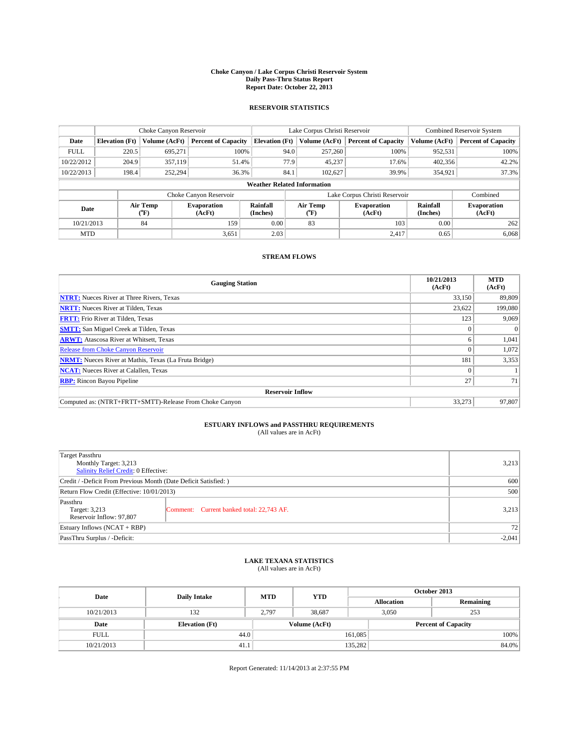### **Choke Canyon / Lake Corpus Christi Reservoir System Daily Pass-Thru Status Report Report Date: October 22, 2013**

### **RESERVOIR STATISTICS**

|             |                       | Choke Canyon Reservoir |                              | Lake Corpus Christi Reservoir      |                               | <b>Combined Reservoir System</b> |                            |                      |                              |
|-------------|-----------------------|------------------------|------------------------------|------------------------------------|-------------------------------|----------------------------------|----------------------------|----------------------|------------------------------|
| Date        | <b>Elevation</b> (Ft) | Volume (AcFt)          | <b>Percent of Capacity</b>   | <b>Elevation (Ft)</b>              | Volume (AcFt)                 |                                  | <b>Percent of Capacity</b> | Volume (AcFt)        | Percent of Capacity          |
| <b>FULL</b> | 220.5                 | 695,271                | 100%                         | 94.0                               | 257,260                       |                                  | 100%                       | 952,531              | 100%                         |
| 10/22/2012  | 204.9                 | 357,119                | 51.4%                        |                                    | 77.9<br>45,237                |                                  | 17.6%                      | 402,356              | 42.2%                        |
| 10/22/2013  | 198.4                 | 252,294                | 36.3%                        | 84.1                               | 102,627                       |                                  | 39.9%                      | 354,921              | 37.3%                        |
|             |                       |                        |                              | <b>Weather Related Information</b> |                               |                                  |                            |                      |                              |
|             |                       |                        | Choke Canyon Reservoir       |                                    | Lake Corpus Christi Reservoir |                                  |                            |                      | Combined                     |
| Date        |                       | Air Temp<br>(°F)       | <b>Evaporation</b><br>(AcFt) | Rainfall<br>(Inches)               | Air Temp<br>(°F)              | <b>Evaporation</b><br>(AcFt)     |                            | Rainfall<br>(Inches) | <b>Evaporation</b><br>(AcFt) |
| 10/21/2013  |                       | 84                     | 159                          | 0.00                               | 83                            |                                  | 103<br>0.00                |                      | 262                          |
| <b>MTD</b>  |                       |                        | 3,651                        | 2.03                               |                               |                                  | 2.417                      | 0.65                 | 6,068                        |

## **STREAM FLOWS**

| <b>Gauging Station</b>                                       | 10/21/2013<br>(AcFt) | <b>MTD</b><br>(AcFt) |  |  |  |  |
|--------------------------------------------------------------|----------------------|----------------------|--|--|--|--|
| <b>NTRT:</b> Nueces River at Three Rivers, Texas             | 33,150               | 89,809               |  |  |  |  |
| <b>NRTT:</b> Nueces River at Tilden, Texas                   | 23,622               | 199,080              |  |  |  |  |
| <b>FRTT:</b> Frio River at Tilden, Texas                     | 123                  | 9,069                |  |  |  |  |
| <b>SMTT:</b> San Miguel Creek at Tilden, Texas               | $\Omega$             | $\Omega$             |  |  |  |  |
| <b>ARWT:</b> Atascosa River at Whitsett, Texas               | 6                    | 1,041                |  |  |  |  |
| <b>Release from Choke Canyon Reservoir</b>                   | $\Omega$             | 1,072                |  |  |  |  |
| <b>NRMT:</b> Nueces River at Mathis, Texas (La Fruta Bridge) | 181                  | 3,353                |  |  |  |  |
| <b>NCAT:</b> Nueces River at Calallen, Texas                 | $\Omega$             |                      |  |  |  |  |
| <b>RBP:</b> Rincon Bayou Pipeline                            | 27                   | 71                   |  |  |  |  |
| <b>Reservoir Inflow</b>                                      |                      |                      |  |  |  |  |
| Computed as: (NTRT+FRTT+SMTT)-Release From Choke Canyon      | 33,273               | 97,807               |  |  |  |  |

# **ESTUARY INFLOWS and PASSTHRU REQUIREMENTS**<br>(All values are in AcFt)

| Target Passthru                                                  |                                           |       |  |  |
|------------------------------------------------------------------|-------------------------------------------|-------|--|--|
| Monthly Target: 3,213                                            |                                           |       |  |  |
| Salinity Relief Credit: 0 Effective:                             |                                           |       |  |  |
| Credit / -Deficit From Previous Month (Date Deficit Satisfied: ) |                                           |       |  |  |
| Return Flow Credit (Effective: 10/01/2013)                       |                                           |       |  |  |
| Passthru                                                         |                                           |       |  |  |
| Target: 3,213                                                    | Comment: Current banked total: 22,743 AF. | 3,213 |  |  |
| Reservoir Inflow: 97,807                                         |                                           |       |  |  |
| Estuary Inflows (NCAT + RBP)                                     |                                           |       |  |  |
| PassThru Surplus / -Deficit:                                     | $-2,041$                                  |       |  |  |

# **LAKE TEXANA STATISTICS** (All values are in AcFt)

| Date        | <b>Daily Intake</b>   | <b>MTD</b> | <b>YTD</b>    | October 2013      |              |                            |  |
|-------------|-----------------------|------------|---------------|-------------------|--------------|----------------------------|--|
|             |                       |            |               | <b>Allocation</b> |              | Remaining                  |  |
| 10/21/2013  | 132                   | 2,797      | 38,687        |                   | 3,050<br>253 |                            |  |
| Date        | <b>Elevation</b> (Ft) |            | Volume (AcFt) |                   |              | <b>Percent of Capacity</b> |  |
| <b>FULL</b> | 44.0                  |            |               | 161,085           |              | 100%                       |  |
| 10/21/2013  | 41.1                  |            |               | 135,282           |              | 84.0%                      |  |

Report Generated: 11/14/2013 at 2:37:55 PM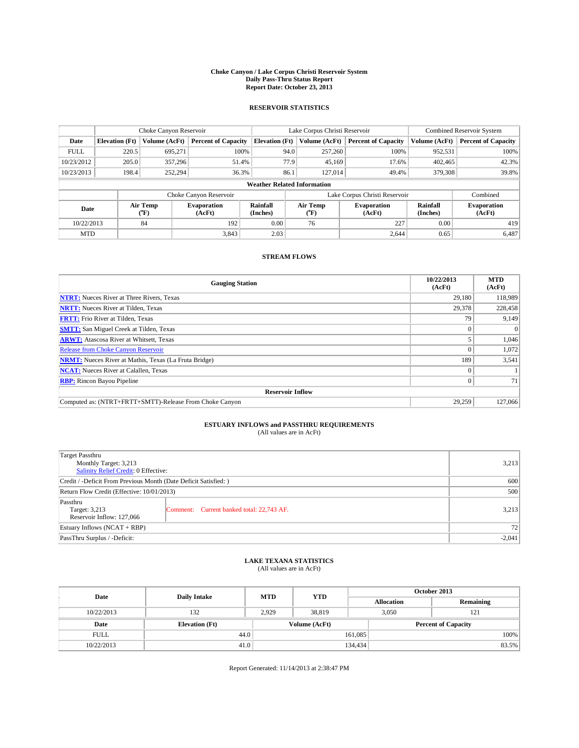### **Choke Canyon / Lake Corpus Christi Reservoir System Daily Pass-Thru Status Report Report Date: October 23, 2013**

### **RESERVOIR STATISTICS**

|             |                       | Choke Canyon Reservoir |                              |                                    | Lake Corpus Christi Reservoir | <b>Combined Reservoir System</b> |                      |                              |
|-------------|-----------------------|------------------------|------------------------------|------------------------------------|-------------------------------|----------------------------------|----------------------|------------------------------|
| Date        | <b>Elevation</b> (Ft) | Volume (AcFt)          | <b>Percent of Capacity</b>   | <b>Elevation (Ft)</b>              | Volume (AcFt)                 | <b>Percent of Capacity</b>       | Volume (AcFt)        | Percent of Capacity          |
| <b>FULL</b> | 220.5                 | 695,271                | 100%                         | 94.0                               | 257,260                       | 100%                             | 952,531              | 100%                         |
| 10/23/2012  | 205.0                 | 357,296                | 51.4%                        |                                    | 77.9<br>45,169                | 17.6%                            | 402,465              | 42.3%                        |
| 10/23/2013  | 198.4                 | 252,294                | 36.3%                        | 86.1                               | 127,014                       | 49.4%                            | 379,308              | 39.8%                        |
|             |                       |                        |                              | <b>Weather Related Information</b> |                               |                                  |                      |                              |
|             |                       |                        | Choke Canyon Reservoir       |                                    |                               | Lake Corpus Christi Reservoir    |                      | Combined                     |
| Date        |                       | Air Temp<br>(°F)       | <b>Evaporation</b><br>(AcFt) | Rainfall<br>(Inches)               | Air Temp<br>("F)              | <b>Evaporation</b><br>(AcFt)     | Rainfall<br>(Inches) | <b>Evaporation</b><br>(AcFt) |
| 10/22/2013  |                       | 84                     | 192                          | 0.00                               | 76                            | 227                              | 0.00                 | 419                          |
| <b>MTD</b>  |                       |                        | 3.843                        | 2.03                               |                               | 2,644                            | 0.65                 | 6,487                        |

### **STREAM FLOWS**

| <b>Gauging Station</b>                                       | 10/22/2013<br>(AcFt) | <b>MTD</b><br>(AcFt) |  |  |  |  |
|--------------------------------------------------------------|----------------------|----------------------|--|--|--|--|
| <b>NTRT:</b> Nueces River at Three Rivers, Texas             | 29.180               | 118,989              |  |  |  |  |
| <b>NRTT:</b> Nueces River at Tilden, Texas                   | 29,378               | 228,458              |  |  |  |  |
| <b>FRTT:</b> Frio River at Tilden, Texas                     | 79                   | 9,149                |  |  |  |  |
| <b>SMTT:</b> San Miguel Creek at Tilden, Texas               | 0                    | $\Omega$             |  |  |  |  |
| <b>ARWT:</b> Atascosa River at Whitsett, Texas               |                      | 1,046                |  |  |  |  |
| Release from Choke Canyon Reservoir                          | $\theta$             | 1,072                |  |  |  |  |
| <b>NRMT:</b> Nueces River at Mathis, Texas (La Fruta Bridge) | 189                  | 3,541                |  |  |  |  |
| <b>NCAT:</b> Nueces River at Calallen, Texas                 | $\theta$             |                      |  |  |  |  |
| <b>RBP:</b> Rincon Bayou Pipeline                            | $\overline{0}$       | 71                   |  |  |  |  |
| <b>Reservoir Inflow</b>                                      |                      |                      |  |  |  |  |
| Computed as: (NTRT+FRTT+SMTT)-Release From Choke Canyon      | 29,259               | 127,066              |  |  |  |  |

# **ESTUARY INFLOWS and PASSTHRU REQUIREMENTS**<br>(All values are in AcFt)

| <b>Target Passthru</b><br>Monthly Target: 3,213<br>Salinity Relief Credit: 0 Effective: | 3,213                                     |       |  |  |
|-----------------------------------------------------------------------------------------|-------------------------------------------|-------|--|--|
| Credit / -Deficit From Previous Month (Date Deficit Satisfied: )                        |                                           |       |  |  |
| Return Flow Credit (Effective: 10/01/2013)                                              | 500                                       |       |  |  |
| Passthru<br>Target: 3,213<br>Reservoir Inflow: 127,066                                  | Comment: Current banked total: 22,743 AF. | 3,213 |  |  |
| Estuary Inflows $(NCAT + RBP)$                                                          | 72                                        |       |  |  |
| PassThru Surplus / -Deficit:                                                            | $-2,041$                                  |       |  |  |

# **LAKE TEXANA STATISTICS** (All values are in AcFt)

| Date        | <b>Daily Intake</b>   | <b>MTD</b> | <b>YTD</b>    | October 2013      |                            |           |  |  |
|-------------|-----------------------|------------|---------------|-------------------|----------------------------|-----------|--|--|
|             |                       |            |               | <b>Allocation</b> |                            | Remaining |  |  |
| 10/22/2013  | 132                   | 2.929      | 38.819        |                   | 3,050<br>121               |           |  |  |
| Date        | <b>Elevation</b> (Ft) |            | Volume (AcFt) |                   | <b>Percent of Capacity</b> |           |  |  |
| <b>FULL</b> | 44.0                  |            |               | 161,085           |                            | 100%      |  |  |
| 10/22/2013  | 41.0                  |            |               | 134,434           |                            | 83.5%     |  |  |

Report Generated: 11/14/2013 at 2:38:47 PM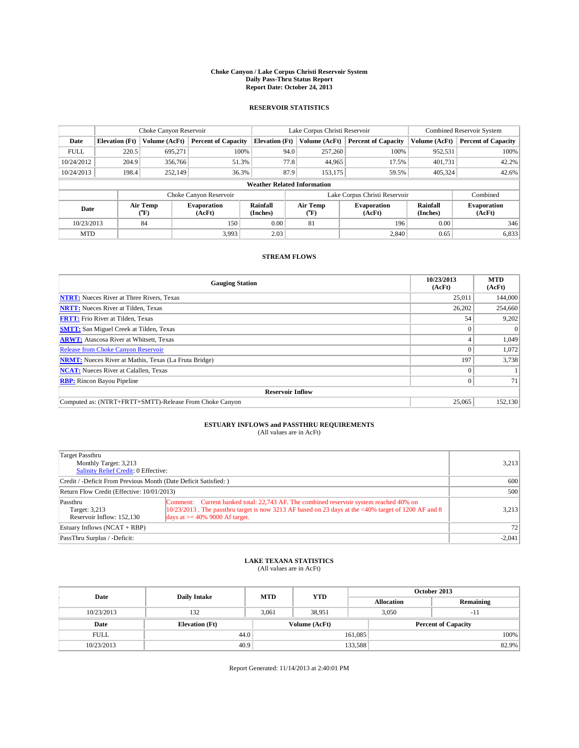### **Choke Canyon / Lake Corpus Christi Reservoir System Daily Pass-Thru Status Report Report Date: October 24, 2013**

### **RESERVOIR STATISTICS**

|             | Choke Canyon Reservoir |                  |                              | Lake Corpus Christi Reservoir      | <b>Combined Reservoir System</b> |                               |                              |                      |                              |
|-------------|------------------------|------------------|------------------------------|------------------------------------|----------------------------------|-------------------------------|------------------------------|----------------------|------------------------------|
| Date        | <b>Elevation</b> (Ft)  | Volume (AcFt)    | <b>Percent of Capacity</b>   | <b>Elevation</b> (Ft)              |                                  | Volume (AcFt)                 | <b>Percent of Capacity</b>   | Volume (AcFt)        | Percent of Capacity          |
| <b>FULL</b> | 220.5                  | 695.271          | 100%                         |                                    | 94.0                             | 257,260                       | 100%                         | 952,531              | 100%                         |
| 10/24/2012  | 204.9                  | 356,766          | 51.3%                        |                                    | 77.8                             | 44,965                        | 17.5%                        | 401,731              | 42.2%                        |
| 10/24/2013  | 198.4                  | 252,149          | 36.3%                        |                                    | 87.9                             | 153.175                       | 59.5%                        | 405.324              | $42.6\%$                     |
|             |                        |                  |                              | <b>Weather Related Information</b> |                                  |                               |                              |                      |                              |
|             |                        |                  | Choke Canyon Reservoir       |                                    |                                  | Lake Corpus Christi Reservoir |                              | Combined             |                              |
| Date        |                        | Air Temp<br>(°F) | <b>Evaporation</b><br>(AcFt) | Rainfall<br>(Inches)               |                                  | Air Temp<br>(°F)              | <b>Evaporation</b><br>(AcFt) | Rainfall<br>(Inches) | <b>Evaporation</b><br>(AcFt) |
| 10/23/2013  |                        | 84               | 150                          | 0.00                               |                                  | 81                            | 196                          | 0.00                 | 346                          |
| <b>MTD</b>  |                        |                  | 3.993                        | 2.03                               |                                  |                               | 2,840                        | 0.65                 | 6,833                        |

### **STREAM FLOWS**

| <b>Gauging Station</b>                                       | 10/23/2013<br>(AcFt) | <b>MTD</b><br>(AcFt) |  |  |  |  |
|--------------------------------------------------------------|----------------------|----------------------|--|--|--|--|
| <b>NTRT:</b> Nueces River at Three Rivers, Texas             | 25,011               | 144,000              |  |  |  |  |
| <b>NRTT:</b> Nueces River at Tilden, Texas                   | 26,202               | 254,660              |  |  |  |  |
| <b>FRTT:</b> Frio River at Tilden, Texas                     | 54                   | 9,202                |  |  |  |  |
| <b>SMTT:</b> San Miguel Creek at Tilden, Texas               | 0                    | $\Omega$             |  |  |  |  |
| <b>ARWT:</b> Atascosa River at Whitsett, Texas               | 4                    | 1,049                |  |  |  |  |
| Release from Choke Canyon Reservoir                          | $\theta$             | 1,072                |  |  |  |  |
| <b>NRMT:</b> Nueces River at Mathis, Texas (La Fruta Bridge) | 197                  | 3,738                |  |  |  |  |
| <b>NCAT:</b> Nueces River at Calallen, Texas                 | $\theta$             |                      |  |  |  |  |
| <b>RBP:</b> Rincon Bayou Pipeline                            | $\overline{0}$       | 71                   |  |  |  |  |
| <b>Reservoir Inflow</b>                                      |                      |                      |  |  |  |  |
| Computed as: (NTRT+FRTT+SMTT)-Release From Choke Canyon      | 25,065               | 152,130              |  |  |  |  |

## **ESTUARY INFLOWS and PASSTHRU REQUIREMENTS**<br>(All values are in AcFt)

| Target Passthru<br>Monthly Target: 3,213<br>Salinity Relief Credit: 0 Effective: |                                                                                                                                                                                                                                        | 3,213    |
|----------------------------------------------------------------------------------|----------------------------------------------------------------------------------------------------------------------------------------------------------------------------------------------------------------------------------------|----------|
| Credit / -Deficit From Previous Month (Date Deficit Satisfied: )                 | 600                                                                                                                                                                                                                                    |          |
| Return Flow Credit (Effective: 10/01/2013)                                       | 500                                                                                                                                                                                                                                    |          |
| Passthru<br>Target: 3,213<br>Reservoir Inflow: 152.130                           | Comment: Current banked total: 22,743 AF. The combined reservoir system reached 40% on<br>$10/23/2013$ . The passthru target is now 3213 AF based on 23 days at the <40% target of 1200 AF and 8<br>days at $\geq$ 40% 9000 Af target. | 3,213    |
| Estuary Inflows (NCAT + RBP)                                                     |                                                                                                                                                                                                                                        | 72       |
| PassThru Surplus / -Deficit:                                                     |                                                                                                                                                                                                                                        | $-2,041$ |

## **LAKE TEXANA STATISTICS** (All values are in AcFt)

| Date        | <b>Daily Intake</b>   | <b>MTD</b> | <b>YTD</b>    | October 2013      |                            |           |  |
|-------------|-----------------------|------------|---------------|-------------------|----------------------------|-----------|--|
|             |                       |            |               | <b>Allocation</b> |                            | Remaining |  |
| 10/23/2013  | 132                   | 3,061      | 38,951        |                   | 3.050                      | $-11$     |  |
| Date        | <b>Elevation</b> (Ft) |            | Volume (AcFt) |                   | <b>Percent of Capacity</b> |           |  |
| <b>FULL</b> | 44.0                  |            |               | 161,085           |                            | 100%      |  |
| 10/23/2013  | 40.9                  |            |               | 133,588           |                            | 82.9%     |  |

Report Generated: 11/14/2013 at 2:40:01 PM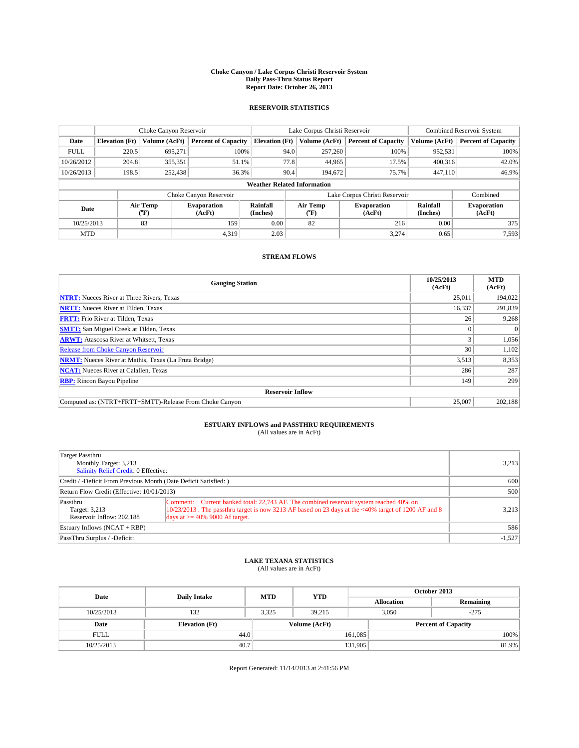### **Choke Canyon / Lake Corpus Christi Reservoir System Daily Pass-Thru Status Report Report Date: October 26, 2013**

### **RESERVOIR STATISTICS**

|             |                       | Choke Canyon Reservoir |                              |                                    | Lake Corpus Christi Reservoir | <b>Combined Reservoir System</b> |                      |                              |
|-------------|-----------------------|------------------------|------------------------------|------------------------------------|-------------------------------|----------------------------------|----------------------|------------------------------|
| Date        | <b>Elevation</b> (Ft) | Volume (AcFt)          | <b>Percent of Capacity</b>   | <b>Elevation (Ft)</b>              | Volume (AcFt)                 | <b>Percent of Capacity</b>       | Volume (AcFt)        | Percent of Capacity          |
| <b>FULL</b> | 220.5                 | 695,271                | 100%                         | 94.0                               | 257,260                       | 100%                             | 952,531              | 100%                         |
| 10/26/2012  | 204.8                 | 355,351                | 51.1%                        | 77.8                               | 44,965                        | 17.5%                            | 400,316              | $42.0\%$                     |
| 10/26/2013  | 198.5                 | 252,438                | 36.3%                        | 90.4                               | 194.672                       | 75.7%                            | 447.110              | 46.9%                        |
|             |                       |                        |                              | <b>Weather Related Information</b> |                               |                                  |                      |                              |
|             |                       |                        | Choke Canyon Reservoir       |                                    | Lake Corpus Christi Reservoir |                                  | Combined             |                              |
| Date        |                       | Air Temp<br>(°F)       | <b>Evaporation</b><br>(AcFt) | Rainfall<br>(Inches)               | Air Temp<br>("F)              | <b>Evaporation</b><br>(AcFt)     | Rainfall<br>(Inches) | <b>Evaporation</b><br>(AcFt) |
| 10/25/2013  |                       | 83                     | 159                          | 0.00                               | 82                            | 216                              | 0.00                 | 375                          |
| <b>MTD</b>  |                       |                        | 4,319                        | 2.03                               |                               | 3,274                            | 0.65                 | 7.593                        |

### **STREAM FLOWS**

| <b>Gauging Station</b>                                       | 10/25/2013<br>(AcFt) | <b>MTD</b><br>(AcFt) |  |  |  |  |
|--------------------------------------------------------------|----------------------|----------------------|--|--|--|--|
| <b>NTRT:</b> Nueces River at Three Rivers, Texas             | 25,011               | 194,022              |  |  |  |  |
| <b>NRTT:</b> Nueces River at Tilden, Texas                   | 16,337               | 291,839              |  |  |  |  |
| <b>FRTT:</b> Frio River at Tilden, Texas                     | 26                   | 9,268                |  |  |  |  |
| <b>SMTT:</b> San Miguel Creek at Tilden, Texas               | $\Omega$             | $\Omega$             |  |  |  |  |
| <b>ARWT:</b> Atascosa River at Whitsett, Texas               | 3                    | 1,056                |  |  |  |  |
| <b>Release from Choke Canyon Reservoir</b>                   | 30                   | 1,102                |  |  |  |  |
| <b>NRMT:</b> Nueces River at Mathis, Texas (La Fruta Bridge) | 3,513                | 8,353                |  |  |  |  |
| <b>NCAT:</b> Nueces River at Calallen, Texas                 | 286                  | 287                  |  |  |  |  |
| <b>RBP:</b> Rincon Bayou Pipeline                            | 149                  | 299                  |  |  |  |  |
| <b>Reservoir Inflow</b>                                      |                      |                      |  |  |  |  |
| Computed as: (NTRT+FRTT+SMTT)-Release From Choke Canyon      | 25,007               | 202,188              |  |  |  |  |

## **ESTUARY INFLOWS and PASSTHRU REQUIREMENTS**<br>(All values are in AcFt)

| Target Passthru<br>Monthly Target: 3,213<br>Salinity Relief Credit: 0 Effective: |                                                                                                                                                                                                                                        | 3,213    |
|----------------------------------------------------------------------------------|----------------------------------------------------------------------------------------------------------------------------------------------------------------------------------------------------------------------------------------|----------|
| Credit / -Deficit From Previous Month (Date Deficit Satisfied: )                 | 600                                                                                                                                                                                                                                    |          |
| Return Flow Credit (Effective: 10/01/2013)                                       | 500                                                                                                                                                                                                                                    |          |
| Passthru<br>Target: 3,213<br>Reservoir Inflow: 202.188                           | Comment: Current banked total: 22,743 AF. The combined reservoir system reached 40% on<br>$10/23/2013$ . The passthru target is now 3213 AF based on 23 days at the <40% target of 1200 AF and 8<br>days at $\geq$ 40% 9000 Af target. | 3,213    |
| Estuary Inflows (NCAT + RBP)                                                     | 586                                                                                                                                                                                                                                    |          |
| PassThru Surplus / -Deficit:                                                     |                                                                                                                                                                                                                                        | $-1,527$ |

## **LAKE TEXANA STATISTICS** (All values are in AcFt)

| Date        | <b>Daily Intake</b>   | <b>MTD</b>    | <b>YTD</b> | October 2013      |                            |           |  |
|-------------|-----------------------|---------------|------------|-------------------|----------------------------|-----------|--|
|             |                       |               |            | <b>Allocation</b> |                            | Remaining |  |
| 10/25/2013  | 132                   | 3,325         | 39,215     | 3.050             |                            | $-275$    |  |
| Date        | <b>Elevation</b> (Ft) | Volume (AcFt) |            |                   | <b>Percent of Capacity</b> |           |  |
| <b>FULL</b> | 44.0                  |               |            | 161,085           |                            | 100%      |  |
| 10/25/2013  | 40.7                  |               |            | 131,905           |                            | 81.9%     |  |

Report Generated: 11/14/2013 at 2:41:56 PM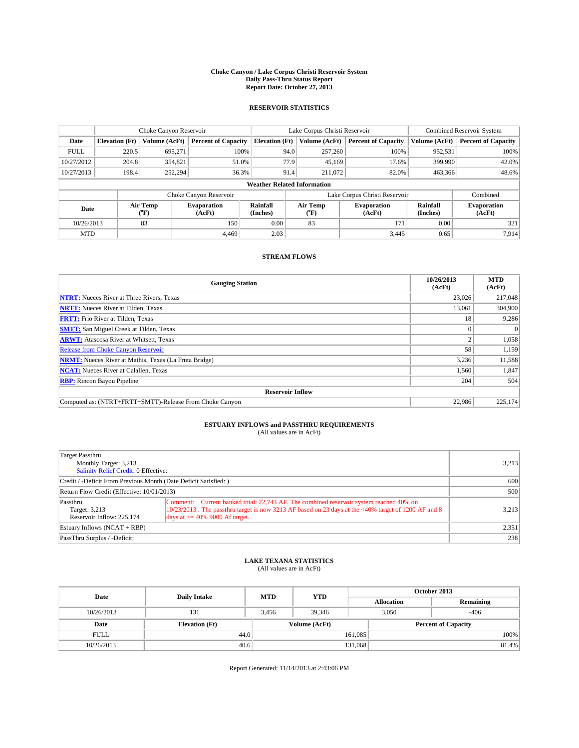### **Choke Canyon / Lake Corpus Christi Reservoir System Daily Pass-Thru Status Report Report Date: October 27, 2013**

### **RESERVOIR STATISTICS**

|             |                       | Choke Canyon Reservoir |                              |                       | Lake Corpus Christi Reservoir      | <b>Combined Reservoir System</b> |                      |                              |
|-------------|-----------------------|------------------------|------------------------------|-----------------------|------------------------------------|----------------------------------|----------------------|------------------------------|
| Date        | <b>Elevation</b> (Ft) | Volume (AcFt)          | <b>Percent of Capacity</b>   | <b>Elevation (Ft)</b> | Volume (AcFt)                      | <b>Percent of Capacity</b>       | Volume (AcFt)        | Percent of Capacity          |
| <b>FULL</b> | 220.5                 | 695,271                | 100%                         |                       | 94.0<br>257,260                    | 100%                             | 952,531              | 100%                         |
| 10/27/2012  | 204.8                 | 354,821                | 51.0%                        |                       | 77.9<br>45,169                     | 17.6%                            | 399,990              | $42.0\%$                     |
| 10/27/2013  | 198.4                 | 252,294                | 36.3%                        | 91.4                  | 211,072                            | 82.0%                            | 463.366              | 48.6%                        |
|             |                       |                        |                              |                       | <b>Weather Related Information</b> |                                  |                      |                              |
|             |                       |                        | Choke Canyon Reservoir       |                       |                                    | Lake Corpus Christi Reservoir    |                      | Combined                     |
| Date        |                       | Air Temp<br>(°F)       | <b>Evaporation</b><br>(AcFt) | Rainfall<br>(Inches)  | Air Temp<br>("F)                   | <b>Evaporation</b><br>(AcFt)     | Rainfall<br>(Inches) | <b>Evaporation</b><br>(AcFt) |
| 10/26/2013  |                       | 83                     | 150                          | 0.00                  | 83                                 | 171                              | 0.00                 | 321                          |
| <b>MTD</b>  |                       |                        | 4.469                        | 2.03                  |                                    | 3,445                            | 0.65                 | 7.914                        |

### **STREAM FLOWS**

| <b>Gauging Station</b>                                       | 10/26/2013<br>(AcFt) | <b>MTD</b><br>(AcFt) |  |  |  |  |
|--------------------------------------------------------------|----------------------|----------------------|--|--|--|--|
| <b>NTRT:</b> Nueces River at Three Rivers, Texas             | 23,026               | 217,048              |  |  |  |  |
| <b>NRTT:</b> Nueces River at Tilden, Texas                   | 13.061               | 304,900              |  |  |  |  |
| <b>FRTT:</b> Frio River at Tilden, Texas                     | 18                   | 9,286                |  |  |  |  |
| <b>SMTT:</b> San Miguel Creek at Tilden, Texas               | $\Omega$             | $\Omega$             |  |  |  |  |
| <b>ARWT:</b> Atascosa River at Whitsett, Texas               | 2                    | 1,058                |  |  |  |  |
| <b>Release from Choke Canyon Reservoir</b>                   | 58                   | 1,159                |  |  |  |  |
| <b>NRMT:</b> Nueces River at Mathis, Texas (La Fruta Bridge) | 3,236                | 11,588               |  |  |  |  |
| <b>NCAT:</b> Nueces River at Calallen, Texas                 | 1,560                | 1,847                |  |  |  |  |
| <b>RBP:</b> Rincon Bayou Pipeline                            | 204                  | 504                  |  |  |  |  |
| <b>Reservoir Inflow</b>                                      |                      |                      |  |  |  |  |
| Computed as: (NTRT+FRTT+SMTT)-Release From Choke Canyon      | 22,986               | 225,174              |  |  |  |  |

## **ESTUARY INFLOWS and PASSTHRU REQUIREMENTS**<br>(All values are in AcFt)

| Target Passthru                                                  |                                                                                                                                                                                                  |       |
|------------------------------------------------------------------|--------------------------------------------------------------------------------------------------------------------------------------------------------------------------------------------------|-------|
| Monthly Target: 3,213                                            | 3,213                                                                                                                                                                                            |       |
| Salinity Relief Credit: 0 Effective:                             |                                                                                                                                                                                                  |       |
| Credit / -Deficit From Previous Month (Date Deficit Satisfied: ) | 600                                                                                                                                                                                              |       |
| Return Flow Credit (Effective: 10/01/2013)                       | 500                                                                                                                                                                                              |       |
| Passthru<br>Target: 3,213                                        | Comment: Current banked total: 22,743 AF. The combined reservoir system reached 40% on<br>$10/23/2013$ . The passthru target is now 3213 AF based on 23 days at the <40% target of 1200 AF and 8 | 3,213 |
| Reservoir Inflow: 225,174                                        | days at $\geq$ 40% 9000 Af target.                                                                                                                                                               |       |
| Estuary Inflows $(NCAT + RBP)$                                   | 2,351                                                                                                                                                                                            |       |
| PassThru Surplus / -Deficit:                                     |                                                                                                                                                                                                  | 238   |

## **LAKE TEXANA STATISTICS** (All values are in AcFt)

| Date        | <b>Daily Intake</b>   | <b>MTD</b> | <b>YTD</b>    | October 2013      |                            |           |       |  |
|-------------|-----------------------|------------|---------------|-------------------|----------------------------|-----------|-------|--|
|             |                       |            |               | <b>Allocation</b> |                            | Remaining |       |  |
| 10/26/2013  | 131                   | 3.456      | 39.346        |                   | $-406$<br>3.050            |           |       |  |
| Date        | <b>Elevation</b> (Ft) |            | Volume (AcFt) |                   | <b>Percent of Capacity</b> |           |       |  |
| <b>FULL</b> | 44.0                  |            |               | 161,085           |                            |           | 100%  |  |
| 10/26/2013  | 40.6                  |            |               | 131,068           |                            |           | 81.4% |  |

Report Generated: 11/14/2013 at 2:43:06 PM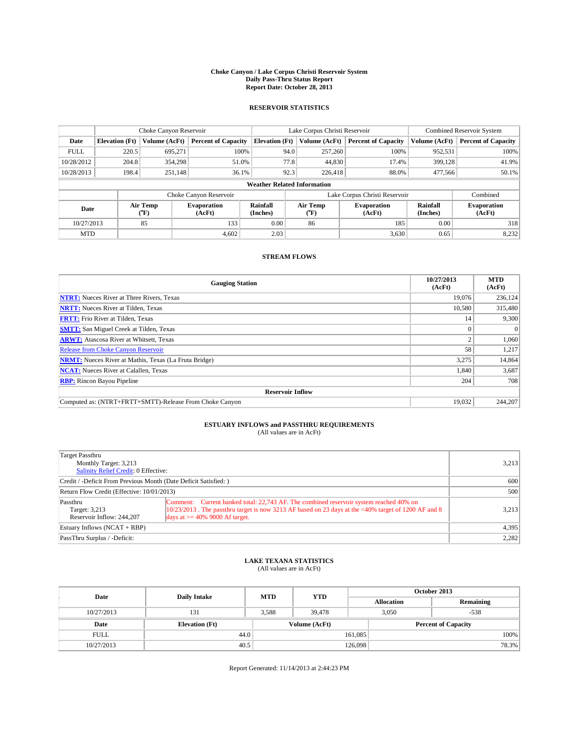### **Choke Canyon / Lake Corpus Christi Reservoir System Daily Pass-Thru Status Report Report Date: October 28, 2013**

### **RESERVOIR STATISTICS**

|                                    |                       | Choke Canyon Reservoir |                              |                       | Lake Corpus Christi Reservoir | <b>Combined Reservoir System</b> |                      |                              |
|------------------------------------|-----------------------|------------------------|------------------------------|-----------------------|-------------------------------|----------------------------------|----------------------|------------------------------|
| Date                               | <b>Elevation</b> (Ft) | Volume (AcFt)          | <b>Percent of Capacity</b>   | <b>Elevation (Ft)</b> | Volume (AcFt)                 | <b>Percent of Capacity</b>       | Volume (AcFt)        | Percent of Capacity          |
| <b>FULL</b>                        | 220.5                 | 695,271                | 100%                         | 94.0                  | 257,260                       | 100%                             | 952,531              | 100%                         |
| 10/28/2012                         | 204.8                 | 354,298                | 51.0%                        | 77.8                  | 44,830                        | 17.4%                            | 399,128              | 41.9%                        |
| 10/28/2013                         | 198.4                 | 251,148                | 36.1%                        | 92.3                  | 226,418                       | 88.0%                            | 477,566              | $50.1\%$                     |
| <b>Weather Related Information</b> |                       |                        |                              |                       |                               |                                  |                      |                              |
|                                    |                       |                        | Choke Canyon Reservoir       |                       |                               | Lake Corpus Christi Reservoir    |                      | Combined                     |
| Date                               |                       | Air Temp<br>(°F)       | <b>Evaporation</b><br>(AcFt) | Rainfall<br>(Inches)  | Air Temp<br>("F)              | <b>Evaporation</b><br>(AcFt)     | Rainfall<br>(Inches) | <b>Evaporation</b><br>(AcFt) |
| 10/27/2013                         |                       | 85                     | 133                          | 0.00                  | 86                            | 185                              | 0.00                 | 318                          |
| <b>MTD</b>                         |                       |                        | 4.602                        | 2.03                  |                               | 3,630                            | 0.65                 | 8,232                        |

### **STREAM FLOWS**

| <b>Gauging Station</b>                                       | 10/27/2013<br>(AcFt) | <b>MTD</b><br>(AcFt) |  |  |  |  |
|--------------------------------------------------------------|----------------------|----------------------|--|--|--|--|
| <b>NTRT:</b> Nueces River at Three Rivers, Texas             | 19.076               | 236,124              |  |  |  |  |
| <b>NRTT:</b> Nueces River at Tilden, Texas                   | 10.580               | 315,480              |  |  |  |  |
| <b>FRTT:</b> Frio River at Tilden, Texas                     | 14                   | 9,300                |  |  |  |  |
| <b>SMTT:</b> San Miguel Creek at Tilden, Texas               | $\theta$             | $\Omega$             |  |  |  |  |
| <b>ARWT:</b> Atascosa River at Whitsett, Texas               | 2                    | 1,060                |  |  |  |  |
| <b>Release from Choke Canyon Reservoir</b>                   | 58                   | 1,217                |  |  |  |  |
| <b>NRMT:</b> Nueces River at Mathis, Texas (La Fruta Bridge) | 3,275                | 14,864               |  |  |  |  |
| <b>NCAT:</b> Nueces River at Calallen, Texas                 | 1,840                | 3,687                |  |  |  |  |
| <b>RBP:</b> Rincon Bayou Pipeline                            | 204                  | 708                  |  |  |  |  |
| <b>Reservoir Inflow</b>                                      |                      |                      |  |  |  |  |
| Computed as: (NTRT+FRTT+SMTT)-Release From Choke Canyon      | 19.032               | 244,207              |  |  |  |  |

## **ESTUARY INFLOWS and PASSTHRU REQUIREMENTS**<br>(All values are in AcFt)

| Target Passthru<br>Monthly Target: 3,213<br>Salinity Relief Credit: 0 Effective: |                                                                                                                                                                                                                                        | 3,213 |
|----------------------------------------------------------------------------------|----------------------------------------------------------------------------------------------------------------------------------------------------------------------------------------------------------------------------------------|-------|
| Credit / -Deficit From Previous Month (Date Deficit Satisfied: )                 | 600                                                                                                                                                                                                                                    |       |
| Return Flow Credit (Effective: 10/01/2013)                                       | 500                                                                                                                                                                                                                                    |       |
| Passthru<br>Target: 3,213<br>Reservoir Inflow: 244,207                           | Comment: Current banked total: 22,743 AF. The combined reservoir system reached 40% on<br>$10/23/2013$ . The passthru target is now 3213 AF based on 23 days at the <40% target of 1200 AF and 8<br>days at $\geq$ 40% 9000 Af target. | 3,213 |
| Estuary Inflows (NCAT + RBP)                                                     | 4,395                                                                                                                                                                                                                                  |       |
| PassThru Surplus / -Deficit:                                                     |                                                                                                                                                                                                                                        | 2,282 |

## **LAKE TEXANA STATISTICS** (All values are in AcFt)

| Date        | <b>Daily Intake</b>   | <b>MTD</b> | <b>YTD</b>    | October 2013      |                 |                            |  |
|-------------|-----------------------|------------|---------------|-------------------|-----------------|----------------------------|--|
|             |                       |            |               | <b>Allocation</b> |                 | Remaining                  |  |
| 10/27/2013  | 131                   | 3,588      | 39,478        |                   | 3.050<br>$-538$ |                            |  |
| Date        | <b>Elevation</b> (Ft) |            | Volume (AcFt) |                   |                 | <b>Percent of Capacity</b> |  |
| <b>FULL</b> | 44.0                  |            |               | 161,085           |                 | 100%                       |  |
| 10/27/2013  | 40.5                  |            |               | 126,098           |                 | 78.3%                      |  |

Report Generated: 11/14/2013 at 2:44:23 PM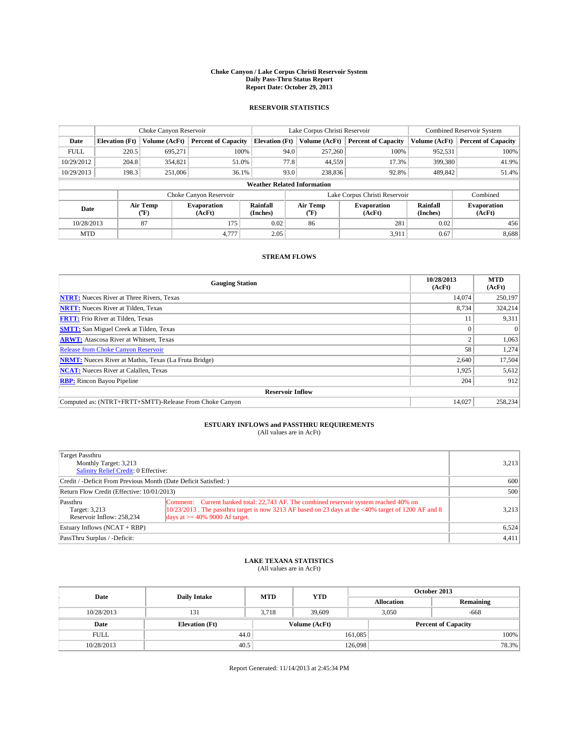### **Choke Canyon / Lake Corpus Christi Reservoir System Daily Pass-Thru Status Report Report Date: October 29, 2013**

### **RESERVOIR STATISTICS**

|                                                                                  | Choke Canyon Reservoir |               |                            |                                    | Lake Corpus Christi Reservoir | <b>Combined Reservoir System</b> |               |                     |
|----------------------------------------------------------------------------------|------------------------|---------------|----------------------------|------------------------------------|-------------------------------|----------------------------------|---------------|---------------------|
| Date                                                                             | <b>Elevation</b> (Ft)  | Volume (AcFt) | <b>Percent of Capacity</b> | <b>Elevation (Ft)</b>              | Volume (AcFt)                 | <b>Percent of Capacity</b>       | Volume (AcFt) | Percent of Capacity |
| <b>FULL</b>                                                                      | 220.5                  | 695,271       | 100%                       | 94.0                               | 257,260                       | 100%                             | 952,531       | 100%                |
| 10/29/2012                                                                       | 204.8                  | 354,821       | 51.0%                      | 77.8                               | 44,559                        | 17.3%                            | 399,380       | 41.9%               |
| 10/29/2013                                                                       | 198.3                  | 251,006       | 36.1%                      | 93.0                               | 238,836                       | 92.8%                            | 489,842       | 51.4%               |
|                                                                                  |                        |               |                            | <b>Weather Related Information</b> |                               |                                  |               |                     |
|                                                                                  |                        |               | Choke Canyon Reservoir     |                                    |                               | Lake Corpus Christi Reservoir    |               | Combined            |
| Rainfall<br>Air Temp<br><b>Evaporation</b><br>Date<br>(Inches)<br>(AcFt)<br>(°F) |                        |               | Air Temp<br>("F)           | <b>Evaporation</b><br>(AcFt)       | Rainfall<br>(Inches)          | <b>Evaporation</b><br>(AcFt)     |               |                     |
| 10/28/2013                                                                       |                        | 87            | 175                        | 0.02                               | 86                            | 281                              | 0.02          | 456                 |
| <b>MTD</b>                                                                       |                        |               | 4,777                      | 2.05                               |                               | 3,911                            | 0.67          | 8,688               |

### **STREAM FLOWS**

| <b>Gauging Station</b>                                       | 10/28/2013<br>(AcFt) | <b>MTD</b><br>(AcFt) |  |  |  |
|--------------------------------------------------------------|----------------------|----------------------|--|--|--|
| <b>NTRT:</b> Nueces River at Three Rivers, Texas             | 14.074               | 250,197              |  |  |  |
| <b>NRTT:</b> Nueces River at Tilden, Texas                   | 8,734                | 324,214              |  |  |  |
| <b>FRTT:</b> Frio River at Tilden, Texas                     | 11                   | 9,311                |  |  |  |
| <b>SMTT:</b> San Miguel Creek at Tilden, Texas               | $\theta$             | $\Omega$             |  |  |  |
| <b>ARWT:</b> Atascosa River at Whitsett, Texas               | 2                    | 1,063                |  |  |  |
| Release from Choke Canyon Reservoir                          | 58                   | 1,274                |  |  |  |
| <b>NRMT:</b> Nueces River at Mathis, Texas (La Fruta Bridge) | 2,640                | 17,504               |  |  |  |
| <b>NCAT:</b> Nueces River at Calallen, Texas                 | 1,925                | 5,612                |  |  |  |
| <b>RBP:</b> Rincon Bayou Pipeline                            | 204                  | 912                  |  |  |  |
| <b>Reservoir Inflow</b>                                      |                      |                      |  |  |  |
| Computed as: (NTRT+FRTT+SMTT)-Release From Choke Canyon      | 14.027               | 258,234              |  |  |  |

# **ESTUARY INFLOWS and PASSTHRU REQUIREMENTS**<br>(All values are in AcFt)

| Target Passthru<br>Monthly Target: 3,213<br>Salinity Relief Credit: 0 Effective: |                                                                                                                                                                                                                                       | 3,213 |
|----------------------------------------------------------------------------------|---------------------------------------------------------------------------------------------------------------------------------------------------------------------------------------------------------------------------------------|-------|
| Credit / -Deficit From Previous Month (Date Deficit Satisfied: )                 |                                                                                                                                                                                                                                       | 600   |
| Return Flow Credit (Effective: 10/01/2013)                                       |                                                                                                                                                                                                                                       | 500   |
| Passthru<br>Target: 3,213<br>Reservoir Inflow: 258.234                           | Comment: Current banked total: 22,743 AF. The combined reservoir system reached 40% on<br>$10/23/2013$ . The passthru target is now 3213 AF based on 23 days at the <40% target of 1200 AF and 8<br>days at $\ge$ 40% 9000 Af target. | 3.213 |
| Estuary Inflows (NCAT + RBP)                                                     |                                                                                                                                                                                                                                       | 6,524 |
| PassThru Surplus / -Deficit:                                                     |                                                                                                                                                                                                                                       | 4,411 |

## **LAKE TEXANA STATISTICS** (All values are in AcFt)

| Date        | <b>Daily Intake</b>   | <b>MTD</b> | <b>YTD</b>    | October 2013      |                            |           |       |
|-------------|-----------------------|------------|---------------|-------------------|----------------------------|-----------|-------|
|             |                       |            |               | <b>Allocation</b> |                            | Remaining |       |
| 10/28/2013  | 131                   | 3.718      | 39,609        | 3.050             |                            | $-668$    |       |
| Date        | <b>Elevation</b> (Ft) |            | Volume (AcFt) |                   | <b>Percent of Capacity</b> |           |       |
| <b>FULL</b> | 44.0                  |            |               | 161,085           |                            |           | 100%  |
| 10/28/2013  | 40.5                  |            |               | 126,098           |                            |           | 78.3% |

Report Generated: 11/14/2013 at 2:45:34 PM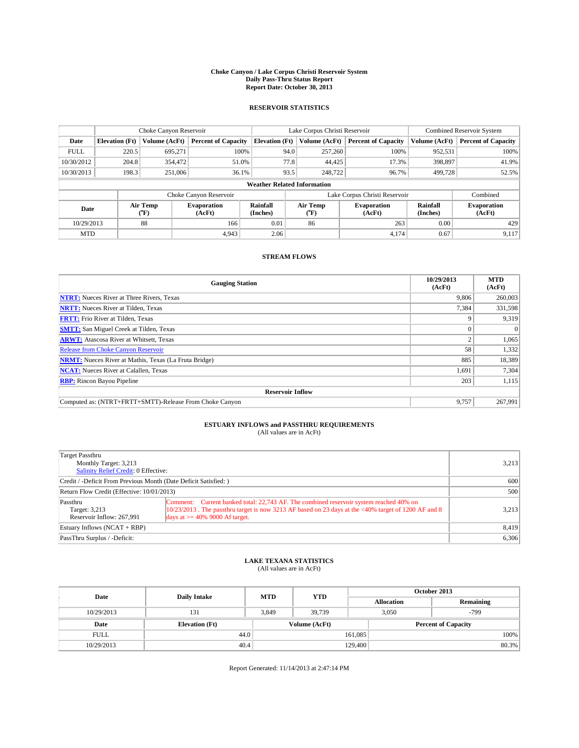### **Choke Canyon / Lake Corpus Christi Reservoir System Daily Pass-Thru Status Report Report Date: October 30, 2013**

### **RESERVOIR STATISTICS**

|             | Choke Canyon Reservoir |                  |                              |                                    | Lake Corpus Christi Reservoir | <b>Combined Reservoir System</b> |               |                              |
|-------------|------------------------|------------------|------------------------------|------------------------------------|-------------------------------|----------------------------------|---------------|------------------------------|
| Date        | <b>Elevation</b> (Ft)  | Volume (AcFt)    | <b>Percent of Capacity</b>   | <b>Elevation (Ft)</b>              | Volume (AcFt)                 | <b>Percent of Capacity</b>       | Volume (AcFt) | <b>Percent of Capacity</b>   |
| <b>FULL</b> | 220.5                  | 695,271          | 100%                         | 94.0                               | 257,260                       | 100%                             | 952,531       | 100%                         |
| 10/30/2012  | 204.8                  | 354,472          | 51.0%                        | 77.8                               | 44,425                        | 17.3%                            | 398,897       | 41.9%                        |
| 10/30/2013  | 198.3                  | 251,006          | 36.1%                        | 93.5                               | 248,722                       | 96.7%                            | 499,728       | 52.5%                        |
|             |                        |                  |                              | <b>Weather Related Information</b> |                               |                                  |               |                              |
|             |                        |                  | Choke Canyon Reservoir       |                                    |                               | Lake Corpus Christi Reservoir    |               | Combined                     |
| Date        |                        | Air Temp<br>(°F) | <b>Evaporation</b><br>(AcFt) | Rainfall<br>(Inches)               | Air Temp<br>("F)              | <b>Evaporation</b><br>(AcFt)     |               | <b>Evaporation</b><br>(AcFt) |
| 10/29/2013  |                        | 88               | 166                          | 0.01                               | 86                            | 263                              | 0.00          |                              |
| <b>MTD</b>  |                        |                  | 4.943                        | 2.06                               |                               | 4,174                            | 0.67          | 9,117                        |

### **STREAM FLOWS**

| <b>Gauging Station</b>                                       | 10/29/2013<br>(AcFt) | <b>MTD</b><br>(AcFt) |  |  |  |  |
|--------------------------------------------------------------|----------------------|----------------------|--|--|--|--|
| <b>NTRT:</b> Nueces River at Three Rivers, Texas             | 9.806                | 260,003              |  |  |  |  |
| <b>NRTT:</b> Nueces River at Tilden, Texas                   | 7,384                | 331,598              |  |  |  |  |
| <b>FRTT:</b> Frio River at Tilden, Texas                     | 9                    | 9,319                |  |  |  |  |
| <b>SMTT:</b> San Miguel Creek at Tilden, Texas               | $\Omega$             | $\Omega$             |  |  |  |  |
| <b>ARWT:</b> Atascosa River at Whitsett, Texas               | 2                    | 1,065                |  |  |  |  |
| <b>Release from Choke Canyon Reservoir</b>                   | 58                   | 1,332                |  |  |  |  |
| <b>NRMT:</b> Nueces River at Mathis, Texas (La Fruta Bridge) | 885                  | 18,389               |  |  |  |  |
| <b>NCAT:</b> Nueces River at Calallen, Texas                 | 1,691                | 7,304                |  |  |  |  |
| <b>RBP:</b> Rincon Bayou Pipeline                            | 203                  | 1,115                |  |  |  |  |
| <b>Reservoir Inflow</b>                                      |                      |                      |  |  |  |  |
| Computed as: (NTRT+FRTT+SMTT)-Release From Choke Canyon      | 9.757                | 267,991              |  |  |  |  |

## **ESTUARY INFLOWS and PASSTHRU REQUIREMENTS**<br>(All values are in AcFt)

| Target Passthru                                                  |                                                                                                                                                                                                  |       |
|------------------------------------------------------------------|--------------------------------------------------------------------------------------------------------------------------------------------------------------------------------------------------|-------|
| Monthly Target: 3,213                                            |                                                                                                                                                                                                  | 3,213 |
| Salinity Relief Credit: 0 Effective:                             |                                                                                                                                                                                                  |       |
| Credit / -Deficit From Previous Month (Date Deficit Satisfied: ) |                                                                                                                                                                                                  | 600   |
| Return Flow Credit (Effective: 10/01/2013)                       | 500                                                                                                                                                                                              |       |
| Passthru<br>Target: 3,213                                        | Comment: Current banked total: 22,743 AF. The combined reservoir system reached 40% on<br>$10/23/2013$ . The passthru target is now 3213 AF based on 23 days at the <40% target of 1200 AF and 8 | 3,213 |
| Reservoir Inflow: 267,991                                        | days at $\geq$ 40% 9000 Af target.                                                                                                                                                               |       |
| Estuary Inflows $(NCAT + RBP)$                                   |                                                                                                                                                                                                  | 8,419 |
| PassThru Surplus / -Deficit:                                     |                                                                                                                                                                                                  | 6,306 |

## **LAKE TEXANA STATISTICS** (All values are in AcFt)

| Date        | <b>Daily Intake</b>   | <b>MTD</b> | <b>YTD</b>    | October 2013      |                            |           |       |
|-------------|-----------------------|------------|---------------|-------------------|----------------------------|-----------|-------|
|             |                       |            |               | <b>Allocation</b> |                            | Remaining |       |
| 10/29/2013  | 131                   | 3.849      | 39.739        |                   | 3.050                      | $-799$    |       |
| Date        | <b>Elevation</b> (Ft) |            | Volume (AcFt) |                   | <b>Percent of Capacity</b> |           |       |
| <b>FULL</b> | 44.0                  |            |               | 161,085           |                            |           | 100%  |
| 10/29/2013  | 40.4                  |            |               | 129,400           |                            |           | 80.3% |

Report Generated: 11/14/2013 at 2:47:14 PM